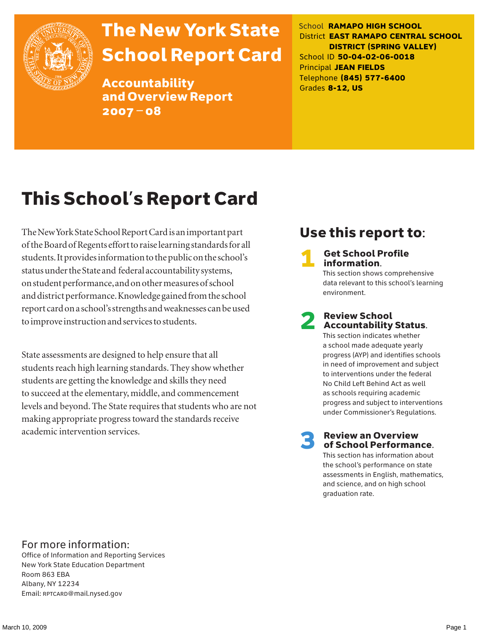

# The New York State School Report Card

Accountability and Overview Report 2007–08

School **RAMAPO HIGH SCHOOL** District **EAST RAMAPO CENTRAL SCHOOL DISTRICT (SPRING VALLEY)** School ID **50-04-02-06-0018** Principal **JEAN FIELDS** Telephone **(845) 577-6400** Grades **8-12, US**

# This School's Report Card

The New York State School Report Card is an important part of the Board of Regents effort to raise learning standards for all students. It provides information to the public on the school's status under the State and federal accountability systems, on student performance, and on other measures of school and district performance. Knowledge gained from the school report card on a school's strengths and weaknesses can be used to improve instruction and services to students.

State assessments are designed to help ensure that all students reach high learning standards. They show whether students are getting the knowledge and skills they need to succeed at the elementary, middle, and commencement levels and beyond. The State requires that students who are not making appropriate progress toward the standards receive academic intervention services.

### Use this report to:

**Get School Profile** information.

This section shows comprehensive data relevant to this school's learning environment.

# 2 Review School Accountability Status.

This section indicates whether a school made adequate yearly progress (AYP) and identifies schools in need of improvement and subject to interventions under the federal No Child Left Behind Act as well as schools requiring academic progress and subject to interventions under Commissioner's Regulations.

**Review an Overview** of School Performance.

This section has information about the school's performance on state assessments in English, mathematics, and science, and on high school graduation rate.

### For more information:

Office of Information and Reporting Services New York State Education Department Room 863 EBA Albany, NY 12234 Email: RPTCARD@mail.nysed.gov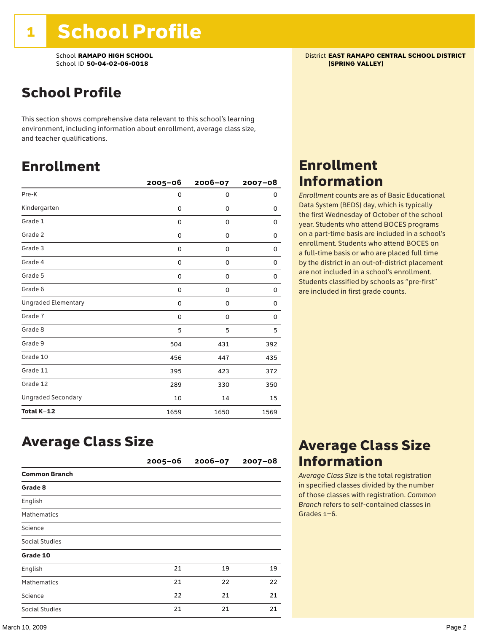School **RAMAPO HIGH SCHOOL**<br>School ID 50-04-02-06-0018<br>**School ID 50-04-02-06-0018** School ID 50-04-02-06-0018

## School Profile

This section shows comprehensive data relevant to this school's learning environment, including information about enrollment, average class size, and teacher qualifications.

### Enrollment

|                            | $2005 - 06$ | 2006-07     | $2007 - 08$ |
|----------------------------|-------------|-------------|-------------|
| Pre-K                      | 0           | 0           | 0           |
| Kindergarten               | 0           | $\mathbf 0$ | 0           |
| Grade 1                    | 0           | 0           | 0           |
| Grade 2                    | 0           | 0           | 0           |
| Grade 3                    | 0           | 0           | 0           |
| Grade 4                    | 0           | 0           | 0           |
| Grade 5                    | 0           | 0           | 0           |
| Grade 6                    | 0           | 0           | 0           |
| <b>Ungraded Elementary</b> | 0           | $\mathbf 0$ | 0           |
| Grade 7                    | 0           | $\mathbf 0$ | 0           |
| Grade 8                    | 5           | 5           | 5           |
| Grade 9                    | 504         | 431         | 392         |
| Grade 10                   | 456         | 447         | 435         |
| Grade 11                   | 395         | 423         | 372         |
| Grade 12                   | 289         | 330         | 350         |
| <b>Ungraded Secondary</b>  | 10          | 14          | 15          |
| Total K-12                 | 1659        | 1650        | 1569        |

## Enrollment Information

*Enrollment* counts are as of Basic Educational Data System (BEDS) day, which is typically the first Wednesday of October of the school year. Students who attend BOCES programs on a part-time basis are included in a school's enrollment. Students who attend BOCES on a full-time basis or who are placed full time by the district in an out-of-district placement are not included in a school's enrollment. Students classified by schools as "pre-first" are included in first grade counts.

### Average Class Size

|                       | $2005 - 06$ | 2006-07 | $2007 - 08$ |
|-----------------------|-------------|---------|-------------|
| <b>Common Branch</b>  |             |         |             |
| Grade 8               |             |         |             |
| English               |             |         |             |
| <b>Mathematics</b>    |             |         |             |
| Science               |             |         |             |
| Social Studies        |             |         |             |
| Grade 10              |             |         |             |
| English               | 21          | 19      | 19          |
| <b>Mathematics</b>    | 21          | 22      | 22          |
| Science               | 22          | 21      | 21          |
| <b>Social Studies</b> | 21          | 21      | 21          |

## Average Class Size Information

*Average Class Size* is the total registration in specified classes divided by the number of those classes with registration. *Common Branch* refers to self-contained classes in Grades 1–6.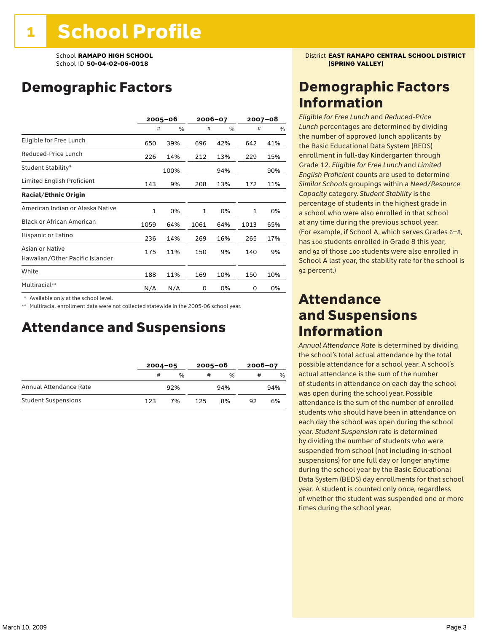## Demographic Factors

|                                                    |              | $2005 - 06$ |      | 2006-07 |              | 2007-08 |
|----------------------------------------------------|--------------|-------------|------|---------|--------------|---------|
|                                                    | #            | %           | #    | %       | #            | %       |
| Eligible for Free Lunch                            | 650          | 39%         | 696  | 42%     | 642          | 41%     |
| Reduced-Price Lunch                                | 226          | 14%         | 212  | 13%     | 229          | 15%     |
| Student Stability*                                 |              | 100%        |      | 94%     |              | 90%     |
| Limited English Proficient                         | 143          | 9%          | 208  | 13%     | 172          | 11%     |
| <b>Racial/Ethnic Origin</b>                        |              |             |      |         |              |         |
| American Indian or Alaska Native                   | $\mathbf{1}$ | 0%          | 1    | 0%      | $\mathbf{1}$ | 0%      |
| <b>Black or African American</b>                   | 1059         | 64%         | 1061 | 64%     | 1013         | 65%     |
| Hispanic or Latino                                 | 236          | 14%         | 269  | 16%     | 265          | 17%     |
| Asian or Native<br>Hawaiian/Other Pacific Islander | 175          | 11%         | 150  | 9%      | 140          | 9%      |
| White                                              | 188          | 11%         | 169  | 10%     | 150          | 10%     |
| Multiracial**                                      | N/A          | N/A         | 0    | 0%      | 0            | 0%      |

\* Available only at the school level.

\*\* Multiracial enrollment data were not collected statewide in the 2005-06 school year.

### Attendance and Suspensions

|                            |     | $2004 - 05$   |     | $2005 - 06$   |    | $2006 - 07$   |  |
|----------------------------|-----|---------------|-----|---------------|----|---------------|--|
|                            | #   | $\frac{1}{2}$ | #   | $\frac{0}{0}$ |    | $\frac{0}{0}$ |  |
| Annual Attendance Rate     |     | 92%           |     | 94%           |    | 94%           |  |
| <b>Student Suspensions</b> | 123 | 7%            | 125 | 8%            | 92 | 6%            |  |

### School **RAMAPO HIGH SCHOOL** District **EAST RAMAPO CENTRAL SCHOOL DISTRICT**

### Demographic Factors Information

*Eligible for Free Lunch* and *Reduced*-*Price Lunch* percentages are determined by dividing the number of approved lunch applicants by the Basic Educational Data System (BEDS) enrollment in full-day Kindergarten through Grade 12. *Eligible for Free Lunch* and *Limited English Proficient* counts are used to determine *Similar Schools* groupings within a *Need*/*Resource Capacity* category. *Student Stability* is the percentage of students in the highest grade in a school who were also enrolled in that school at any time during the previous school year. (For example, if School A, which serves Grades 6–8, has 100 students enrolled in Grade 8 this year, and 92 of those 100 students were also enrolled in School A last year, the stability rate for the school is 92 percent.)

### Attendance and Suspensions Information

*Annual Attendance Rate* is determined by dividing the school's total actual attendance by the total possible attendance for a school year. A school's actual attendance is the sum of the number of students in attendance on each day the school was open during the school year. Possible attendance is the sum of the number of enrolled students who should have been in attendance on each day the school was open during the school year. *Student Suspension* rate is determined by dividing the number of students who were suspended from school (not including in-school suspensions) for one full day or longer anytime during the school year by the Basic Educational Data System (BEDS) day enrollments for that school year. A student is counted only once, regardless of whether the student was suspended one or more times during the school year.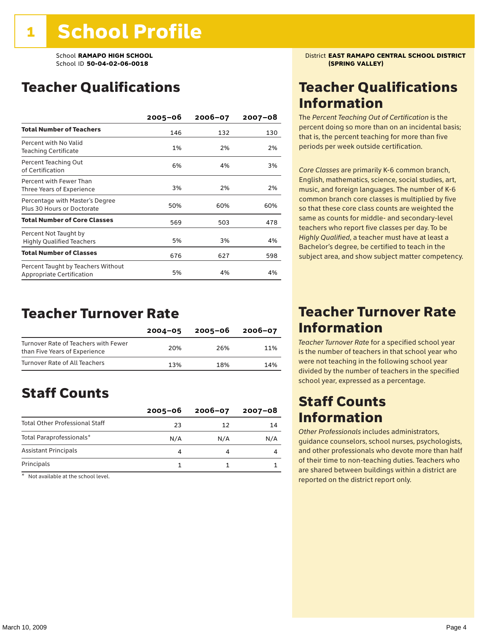School ID 50-04-02-06-0018

### Teacher Qualifications

|                                                                 | $2005 - 06$ | $2006 - 07$ | 2007-08 |
|-----------------------------------------------------------------|-------------|-------------|---------|
| <b>Total Number of Teachers</b>                                 | 146         | 132         | 130     |
| Percent with No Valid<br>Teaching Certificate                   | 1%          | 2%          | 2%      |
| Percent Teaching Out<br>of Certification                        | 6%          | 4%          | 3%      |
| Percent with Fewer Than<br>Three Years of Experience            | 3%          | 2%          | 2%      |
| Percentage with Master's Degree<br>Plus 30 Hours or Doctorate   | 50%         | 60%         | 60%     |
| <b>Total Number of Core Classes</b>                             | 569         | 503         | 478     |
| Percent Not Taught by<br><b>Highly Qualified Teachers</b>       | 5%          | 3%          | 4%      |
| <b>Total Number of Classes</b>                                  | 676         | 627         | 598     |
| Percent Taught by Teachers Without<br>Appropriate Certification | 5%          | 4%          | 4%      |

### Teacher Turnover Rate

|                                                                       | $2004 - 05$ | 2005-06 | $2006 - 07$ |
|-----------------------------------------------------------------------|-------------|---------|-------------|
| Turnover Rate of Teachers with Fewer<br>than Five Years of Experience | 20%         | 26%     | 11%         |
| Turnover Rate of All Teachers                                         | 13%         | 18%     | 14%         |

## Staff Counts

|                                       | $2005 - 06$ | $2006 - 07$ | $2007 - 08$ |
|---------------------------------------|-------------|-------------|-------------|
| <b>Total Other Professional Staff</b> | 23          | 12          | 14          |
| Total Paraprofessionals*              | N/A         | N/A         | N/A         |
| <b>Assistant Principals</b>           |             |             |             |
| Principals                            |             |             |             |

\* Not available at the school level.

School **RAMAPO HIGH SCHOOL**<br>School ID 50-04-02-06-0018<br>**School ID 50-04-02-06-0018** 

### Teacher Qualifications Information

The *Percent Teaching Out of Certification* is the percent doing so more than on an incidental basis; that is, the percent teaching for more than five periods per week outside certification.

*Core Classes* are primarily K-6 common branch, English, mathematics, science, social studies, art, music, and foreign languages. The number of K-6 common branch core classes is multiplied by five so that these core class counts are weighted the same as counts for middle- and secondary-level teachers who report five classes per day. To be *Highly Qualified*, a teacher must have at least a Bachelor's degree, be certified to teach in the subject area, and show subject matter competency.

### Teacher Turnover Rate Information

*Teacher Turnover Rate* for a specified school year is the number of teachers in that school year who were not teaching in the following school year divided by the number of teachers in the specified school year, expressed as a percentage.

### Staff Counts Information

*Other Professionals* includes administrators, guidance counselors, school nurses, psychologists, and other professionals who devote more than half of their time to non-teaching duties. Teachers who are shared between buildings within a district are reported on the district report only.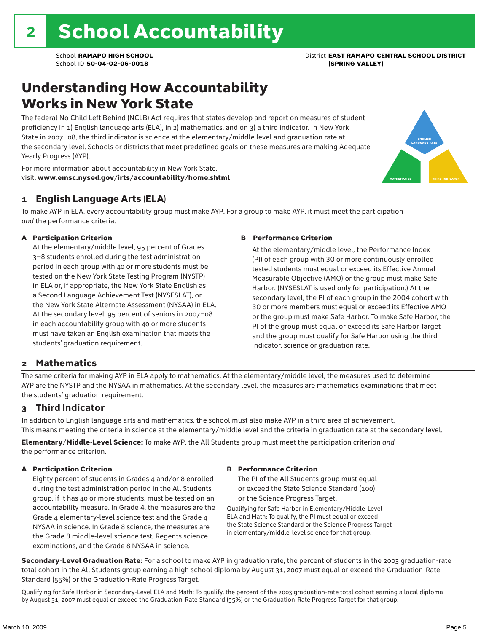### Understanding How Accountability Works in New York State

The federal No Child Left Behind (NCLB) Act requires that states develop and report on measures of student proficiency in 1) English language arts (ELA), in 2) mathematics, and on 3) a third indicator. In New York State in 2007–08, the third indicator is science at the elementary/middle level and graduation rate at the secondary level. Schools or districts that meet predefined goals on these measures are making Adequate Yearly Progress (AYP).



For more information about accountability in New York State, visit: www.emsc.nysed.gov/irts/accountability/home.shtml

### 1 English Language Arts (ELA)

To make AYP in ELA, every accountability group must make AYP. For a group to make AYP, it must meet the participation *and* the performance criteria.

#### A Participation Criterion

At the elementary/middle level, 95 percent of Grades 3–8 students enrolled during the test administration period in each group with 40 or more students must be tested on the New York State Testing Program (NYSTP) in ELA or, if appropriate, the New York State English as a Second Language Achievement Test (NYSESLAT), or the New York State Alternate Assessment (NYSAA) in ELA. At the secondary level, 95 percent of seniors in 2007–08 in each accountability group with 40 or more students must have taken an English examination that meets the students' graduation requirement.

#### B Performance Criterion

At the elementary/middle level, the Performance Index (PI) of each group with 30 or more continuously enrolled tested students must equal or exceed its Effective Annual Measurable Objective (AMO) or the group must make Safe Harbor. (NYSESLAT is used only for participation.) At the secondary level, the PI of each group in the 2004 cohort with 30 or more members must equal or exceed its Effective AMO or the group must make Safe Harbor. To make Safe Harbor, the PI of the group must equal or exceed its Safe Harbor Target and the group must qualify for Safe Harbor using the third indicator, science or graduation rate.

### 2 Mathematics

The same criteria for making AYP in ELA apply to mathematics. At the elementary/middle level, the measures used to determine AYP are the NYSTP and the NYSAA in mathematics. At the secondary level, the measures are mathematics examinations that meet the students' graduation requirement.

### 3 Third Indicator

In addition to English language arts and mathematics, the school must also make AYP in a third area of achievement. This means meeting the criteria in science at the elementary/middle level and the criteria in graduation rate at the secondary level.

Elementary/Middle-Level Science: To make AYP, the All Students group must meet the participation criterion *and* the performance criterion.

#### A Participation Criterion

Eighty percent of students in Grades 4 and/or 8 enrolled during the test administration period in the All Students group, if it has 40 or more students, must be tested on an accountability measure. In Grade 4, the measures are the Grade 4 elementary-level science test and the Grade 4 NYSAA in science. In Grade 8 science, the measures are the Grade 8 middle-level science test, Regents science examinations, and the Grade 8 NYSAA in science.

#### B Performance Criterion

The PI of the All Students group must equal or exceed the State Science Standard (100) or the Science Progress Target.

Qualifying for Safe Harbor in Elementary/Middle-Level ELA and Math: To qualify, the PI must equal or exceed the State Science Standard or the Science Progress Target in elementary/middle-level science for that group.

Secondary-Level Graduation Rate: For a school to make AYP in graduation rate, the percent of students in the 2003 graduation-rate total cohort in the All Students group earning a high school diploma by August 31, 2007 must equal or exceed the Graduation-Rate Standard (55%) or the Graduation-Rate Progress Target.

Qualifying for Safe Harbor in Secondary-Level ELA and Math: To qualify, the percent of the 2003 graduation-rate total cohort earning a local diploma by August 31, 2007 must equal or exceed the Graduation-Rate Standard (55%) or the Graduation-Rate Progress Target for that group.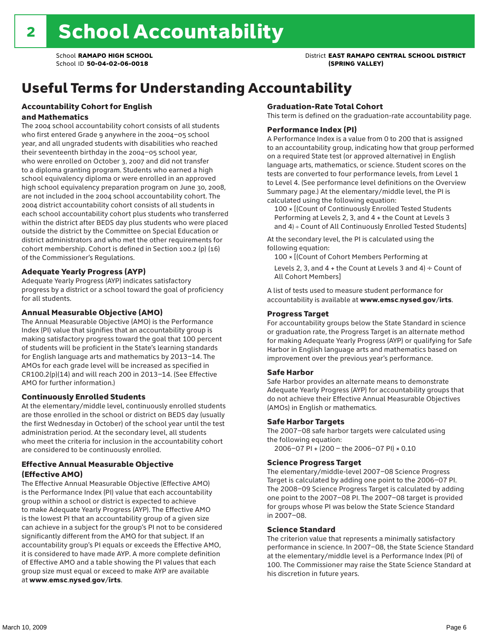## Useful Terms for Understanding Accountability

#### Accountability Cohort for English and Mathematics

The 2004 school accountability cohort consists of all students who first entered Grade 9 anywhere in the 2004–05 school year, and all ungraded students with disabilities who reached their seventeenth birthday in the 2004–05 school year, who were enrolled on October 3, 2007 and did not transfer to a diploma granting program. Students who earned a high school equivalency diploma or were enrolled in an approved high school equivalency preparation program on June 30, 2008, are not included in the 2004 school accountability cohort. The 2004 district accountability cohort consists of all students in each school accountability cohort plus students who transferred within the district after BEDS day plus students who were placed outside the district by the Committee on Special Education or district administrators and who met the other requirements for cohort membership. Cohort is defined in Section 100.2 (p) (16) of the Commissioner's Regulations.

#### Adequate Yearly Progress (AYP)

Adequate Yearly Progress (AYP) indicates satisfactory progress by a district or a school toward the goal of proficiency for all students.

#### Annual Measurable Objective (AMO)

The Annual Measurable Objective (AMO) is the Performance Index (PI) value that signifies that an accountability group is making satisfactory progress toward the goal that 100 percent of students will be proficient in the State's learning standards for English language arts and mathematics by 2013–14. The AMOs for each grade level will be increased as specified in CR100.2(p)(14) and will reach 200 in 2013–14. (See Effective AMO for further information.)

#### Continuously Enrolled Students

At the elementary/middle level, continuously enrolled students are those enrolled in the school or district on BEDS day (usually the first Wednesday in October) of the school year until the test administration period. At the secondary level, all students who meet the criteria for inclusion in the accountability cohort are considered to be continuously enrolled.

#### Effective Annual Measurable Objective (Effective AMO)

The Effective Annual Measurable Objective (Effective AMO) is the Performance Index (PI) value that each accountability group within a school or district is expected to achieve to make Adequate Yearly Progress (AYP). The Effective AMO is the lowest PI that an accountability group of a given size can achieve in a subject for the group's PI not to be considered significantly different from the AMO for that subject. If an accountability group's PI equals or exceeds the Effective AMO, it is considered to have made AYP. A more complete definition of Effective AMO and a table showing the PI values that each group size must equal or exceed to make AYP are available at www.emsc.nysed.gov/irts.

#### Graduation-Rate Total Cohort

This term is defined on the graduation-rate accountability page.

#### Performance Index (PI)

A Performance Index is a value from 0 to 200 that is assigned to an accountability group, indicating how that group performed on a required State test (or approved alternative) in English language arts, mathematics, or science. Student scores on the tests are converted to four performance levels, from Level 1 to Level 4. (See performance level definitions on the Overview Summary page.) At the elementary/middle level, the PI is calculated using the following equation:

100 × [(Count of Continuously Enrolled Tested Students Performing at Levels 2, 3, and 4 + the Count at Levels 3 and 4) ÷ Count of All Continuously Enrolled Tested Students]

At the secondary level, the PI is calculated using the following equation:

100 × [(Count of Cohort Members Performing at

Levels 2, 3, and 4 + the Count at Levels 3 and 4)  $\div$  Count of All Cohort Members]

A list of tests used to measure student performance for accountability is available at www.emsc.nysed.gov/irts.

#### Progress Target

For accountability groups below the State Standard in science or graduation rate, the Progress Target is an alternate method for making Adequate Yearly Progress (AYP) or qualifying for Safe Harbor in English language arts and mathematics based on improvement over the previous year's performance.

#### Safe Harbor

Safe Harbor provides an alternate means to demonstrate Adequate Yearly Progress (AYP) for accountability groups that do not achieve their Effective Annual Measurable Objectives (AMOs) in English or mathematics.

#### Safe Harbor Targets

The 2007–08 safe harbor targets were calculated using the following equation:

2006–07 PI + (200 – the 2006–07 PI) × 0.10

#### Science Progress Target

The elementary/middle-level 2007–08 Science Progress Target is calculated by adding one point to the 2006–07 PI. The 2008–09 Science Progress Target is calculated by adding one point to the 2007–08 PI. The 2007–08 target is provided for groups whose PI was below the State Science Standard in 2007–08.

#### Science Standard

The criterion value that represents a minimally satisfactory performance in science. In 2007–08, the State Science Standard at the elementary/middle level is a Performance Index (PI) of 100. The Commissioner may raise the State Science Standard at his discretion in future years.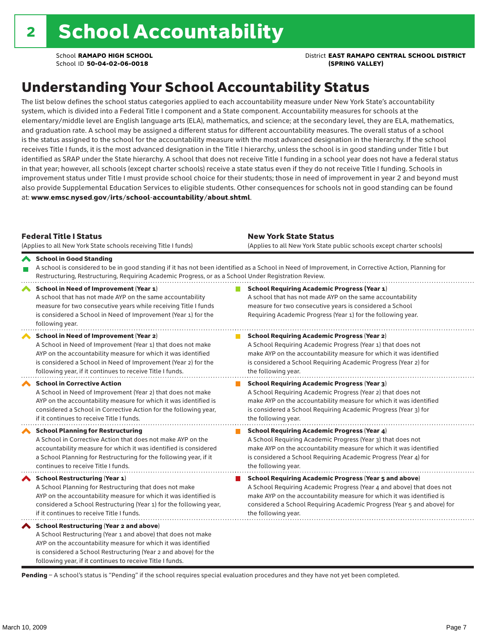School **RAMAPO HIGH SCHOOL** District **EAST RAMAPO CENTRAL SCHOOL DISTRICT**

## Understanding Your School Accountability Status

The list below defines the school status categories applied to each accountability measure under New York State's accountability system, which is divided into a Federal Title I component and a State component. Accountability measures for schools at the elementary/middle level are English language arts (ELA), mathematics, and science; at the secondary level, they are ELA, mathematics, and graduation rate. A school may be assigned a different status for different accountability measures. The overall status of a school is the status assigned to the school for the accountability measure with the most advanced designation in the hierarchy. If the school receives Title I funds, it is the most advanced designation in the Title I hierarchy, unless the school is in good standing under Title I but identified as SRAP under the State hierarchy. A school that does not receive Title I funding in a school year does not have a federal status in that year; however, all schools (except charter schools) receive a state status even if they do not receive Title I funding. Schools in improvement status under Title I must provide school choice for their students; those in need of improvement in year 2 and beyond must also provide Supplemental Education Services to eligible students. Other consequences for schools not in good standing can be found at: www.emsc.nysed.gov/irts/school-accountability/about.shtml.

| <b>Federal Title I Status</b><br>(Applies to all New York State schools receiving Title I funds)                                                                                                                                                                                                         | <b>New York State Status</b><br>(Applies to all New York State public schools except charter schools) |                                                                                                                                                                                                                                                                                                                 |  |  |  |
|----------------------------------------------------------------------------------------------------------------------------------------------------------------------------------------------------------------------------------------------------------------------------------------------------------|-------------------------------------------------------------------------------------------------------|-----------------------------------------------------------------------------------------------------------------------------------------------------------------------------------------------------------------------------------------------------------------------------------------------------------------|--|--|--|
| School in Good Standing<br>Restructuring, Restructuring, Requiring Academic Progress, or as a School Under Registration Review.                                                                                                                                                                          |                                                                                                       | A school is considered to be in good standing if it has not been identified as a School in Need of Improvement, in Corrective Action, Planning for                                                                                                                                                              |  |  |  |
| School in Need of Improvement (Year 1)<br>A school that has not made AYP on the same accountability<br>measure for two consecutive years while receiving Title I funds<br>is considered a School in Need of Improvement (Year 1) for the<br>following year.                                              |                                                                                                       | <b>School Requiring Academic Progress (Year 1)</b><br>A school that has not made AYP on the same accountability<br>measure for two consecutive years is considered a School<br>Requiring Academic Progress (Year 1) for the following year.                                                                     |  |  |  |
| School in Need of Improvement (Year 2)<br>A School in Need of Improvement (Year 1) that does not make<br>AYP on the accountability measure for which it was identified<br>is considered a School in Need of Improvement (Year 2) for the<br>following year, if it continues to receive Title I funds.    |                                                                                                       | <b>School Requiring Academic Progress (Year 2)</b><br>A School Requiring Academic Progress (Year 1) that does not<br>make AYP on the accountability measure for which it was identified<br>is considered a School Requiring Academic Progress (Year 2) for<br>the following year.                               |  |  |  |
| <b>School in Corrective Action</b><br>A School in Need of Improvement (Year 2) that does not make<br>AYP on the accountability measure for which it was identified is<br>considered a School in Corrective Action for the following year,<br>if it continues to receive Title I funds.                   |                                                                                                       | <b>School Requiring Academic Progress (Year 3)</b><br>A School Requiring Academic Progress (Year 2) that does not<br>make AYP on the accountability measure for which it was identified<br>is considered a School Requiring Academic Progress (Year 3) for<br>the following year.                               |  |  |  |
| <b>School Planning for Restructuring</b><br>A School in Corrective Action that does not make AYP on the<br>accountability measure for which it was identified is considered<br>a School Planning for Restructuring for the following year, if it<br>continues to receive Title I funds.                  |                                                                                                       | <b>School Requiring Academic Progress (Year 4)</b><br>A School Requiring Academic Progress (Year 3) that does not<br>make AYP on the accountability measure for which it was identified<br>is considered a School Requiring Academic Progress (Year 4) for<br>the following year.                               |  |  |  |
| <b>School Restructuring (Year 1)</b><br>A School Planning for Restructuring that does not make<br>AYP on the accountability measure for which it was identified is<br>considered a School Restructuring (Year 1) for the following year,<br>if it continues to receive Title I funds.                    |                                                                                                       | <b>School Requiring Academic Progress (Year 5 and above)</b><br>A School Requiring Academic Progress (Year 4 and above) that does not<br>make AYP on the accountability measure for which it was identified is<br>considered a School Requiring Academic Progress (Year 5 and above) for<br>the following year. |  |  |  |
| School Restructuring (Year 2 and above)<br>A School Restructuring (Year 1 and above) that does not make<br>AYP on the accountability measure for which it was identified<br>is considered a School Restructuring (Year 2 and above) for the<br>following year, if it continues to receive Title I funds. |                                                                                                       |                                                                                                                                                                                                                                                                                                                 |  |  |  |

Pending - A school's status is "Pending" if the school requires special evaluation procedures and they have not yet been completed.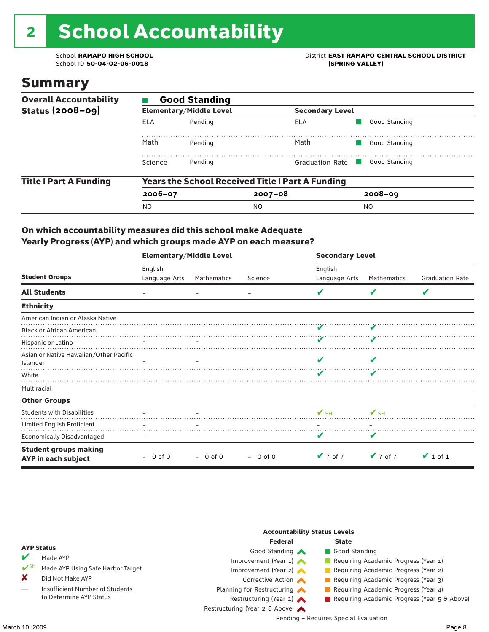# 2 School Accountability

School ID 50-04-02-06-0018

School **RAMAPO HIGH SCHOOL**<br>School ID 50-04-02-06-0018<br>
School ID 50-04-02-06-0018

### Summary

| <b>Overall Accountability</b><br><b>Status (2008-09)</b> | <b>Good Standing</b> |                                |                                                         |               |  |  |  |  |
|----------------------------------------------------------|----------------------|--------------------------------|---------------------------------------------------------|---------------|--|--|--|--|
|                                                          |                      | <b>Elementary/Middle Level</b> | <b>Secondary Level</b>                                  |               |  |  |  |  |
|                                                          | ELA                  | Pending                        | ELA                                                     | Good Standing |  |  |  |  |
|                                                          | Math                 | Pending                        | Math                                                    | Good Standing |  |  |  |  |
|                                                          | Science              | Pending                        | <b>Graduation Rate</b>                                  | Good Standing |  |  |  |  |
| <b>Title I Part A Funding</b>                            |                      |                                | <b>Years the School Received Title I Part A Funding</b> |               |  |  |  |  |
|                                                          | $2006 - 07$          |                                | $2007 - 08$                                             | $2008 - 09$   |  |  |  |  |
|                                                          | <b>NO</b>            |                                | NO                                                      | NO.           |  |  |  |  |

#### On which accountability measures did this school make Adequate Yearly Progress (AYP) and which groups made AYP on each measure?

|                                                     | <b>Elementary/Middle Level</b> |             |           | <b>Secondary Level</b>   |                             |                        |  |
|-----------------------------------------------------|--------------------------------|-------------|-----------|--------------------------|-----------------------------|------------------------|--|
|                                                     | English                        |             |           | English                  |                             |                        |  |
| <b>Student Groups</b>                               | Language Arts                  | Mathematics | Science   | Language Arts            | Mathematics                 | <b>Graduation Rate</b> |  |
| <b>All Students</b>                                 |                                |             |           |                          | v                           | V                      |  |
| <b>Ethnicity</b>                                    |                                |             |           |                          |                             |                        |  |
| American Indian or Alaska Native                    |                                |             |           |                          |                             |                        |  |
| <b>Black or African American</b>                    |                                |             |           |                          |                             |                        |  |
| Hispanic or Latino                                  |                                |             |           |                          |                             |                        |  |
| Asian or Native Hawaiian/Other Pacific<br>Islander  |                                |             |           |                          |                             |                        |  |
| White                                               |                                |             |           | v                        | v                           |                        |  |
| Multiracial                                         |                                |             |           |                          |                             |                        |  |
| <b>Other Groups</b>                                 |                                |             |           |                          |                             |                        |  |
| <b>Students with Disabilities</b>                   |                                |             |           | $\mathbf{V}_{\text{SH}}$ | $\mathbf{V}_{\text{SH}}$    |                        |  |
| Limited English Proficient                          |                                |             |           |                          |                             |                        |  |
| Economically Disadvantaged                          |                                |             |           | v                        | V                           |                        |  |
| <b>Student groups making</b><br>AYP in each subject | $-0$ of 0                      | $-$ 0 of 0  | $-0$ of 0 | $\vee$ 7 of 7            | $\blacktriangledown$ 7 of 7 | $\vee$ 1 of 1          |  |

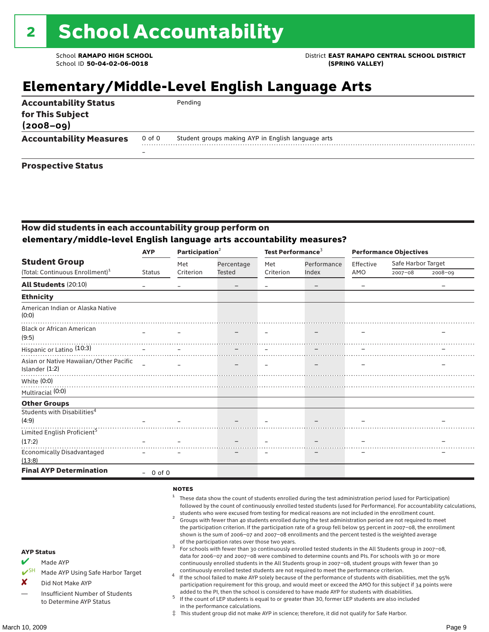School **RAMAPO HIGH SCHOOL** District **EAST RAMAPO CENTRAL SCHOOL DISTRICT**

### **Elementary/Middle-Level English Language Arts**

| <b>Accountability Status</b><br>for This Subject<br>$(2008 - 09)$ |                          | Pending                                            |
|-------------------------------------------------------------------|--------------------------|----------------------------------------------------|
| <b>Accountability Measures</b>                                    | 0 of 0                   | Student groups making AYP in English language arts |
|                                                                   | $\overline{\phantom{0}}$ |                                                    |
| <b>Prospective Status</b>                                         |                          |                                                    |

#### How did students in each accountability group perform on **elementary/middle-level English language arts accountability measures?**

|                                                          | <b>AYP</b>    | Participation <sup>2</sup> |            | Test Performance <sup>3</sup> |                   | <b>Performance Objectives</b> |                    |         |
|----------------------------------------------------------|---------------|----------------------------|------------|-------------------------------|-------------------|-------------------------------|--------------------|---------|
| <b>Student Group</b>                                     |               | Met                        | Percentage | Met                           | Performance       | Effective                     | Safe Harbor Target |         |
| (Total: Continuous Enrollment) <sup>1</sup>              | <b>Status</b> | Criterion                  | Tested     | Criterion                     | Index             | AMO                           | $2007 - 08$        | 2008-09 |
| <b>All Students (20:10)</b>                              |               |                            | -          |                               | $\qquad \qquad -$ |                               |                    |         |
| <b>Ethnicity</b>                                         |               |                            |            |                               |                   |                               |                    |         |
| American Indian or Alaska Native<br>(0:0)                |               |                            |            |                               |                   |                               |                    |         |
| <b>Black or African American</b><br>(9:5)                |               |                            |            |                               |                   |                               |                    |         |
| Hispanic or Latino <sup>(10:3)</sup>                     |               |                            |            |                               |                   |                               |                    |         |
| Asian or Native Hawaiian/Other Pacific<br>Islander (1:2) | $\equiv$      |                            |            |                               |                   |                               |                    |         |
| White (0:0)<br>Multiracial (0:0)                         |               |                            |            |                               |                   |                               |                    |         |
| <b>Other Groups</b>                                      |               |                            |            |                               |                   |                               |                    |         |
| Students with Disabilities <sup>4</sup><br>(4:9)         |               |                            |            |                               |                   |                               |                    |         |
| Limited English Proficient <sup>5</sup>                  |               |                            |            |                               |                   |                               |                    |         |
| (17:2)                                                   |               |                            |            |                               |                   |                               |                    |         |
| <b>Economically Disadvantaged</b><br>(13:8)              |               |                            |            |                               |                   |                               |                    |         |
| <b>Final AYP Determination</b>                           | $-0$ of 0     |                            |            |                               |                   |                               |                    |         |

#### **NOTES**

- <sup>1</sup> These data show the count of students enrolled during the test administration period (used for Participation) followed by the count of continuously enrolled tested students (used for Performance). For accountability calculations,
	- students who were excused from testing for medical reasons are not included in the enrollment count. <sup>2</sup> Groups with fewer than 40 students enrolled during the test administration period are not required to meet the participation criterion. If the participation rate of a group fell below 95 percent in 2007–08, the enrollment shown is the sum of 2006–07 and 2007–08 enrollments and the percent tested is the weighted average
	- of the participation rates over those two years.<br><sup>3</sup> For schools with fewer than 30 continuously enrolled tested students in the All Students group in 2007–08, data for 2006–07 and 2007–08 were combined to determine counts and PIs. For schools with 30 or more continuously enrolled students in the All Students group in 2007–08, student groups with fewer than 30
- continuously enrolled tested students are not required to meet the performance criterion. <sup>4</sup> If the school failed to make AYP solely because of the performance of students with disabilities, met the 95% participation requirement for this group, and would meet or exceed the AMO for this subject if 34 points were added to the PI, then the school is considered to have made AYP for students with disabilities.
- $5$  If the count of LEP students is equal to or greater than 30, former LEP students are also included in the performance calculations.
- ‡ This student group did not make AYP in science; therefore, it did not qualify for Safe Harbor.

AYP Status Made AYP

X Did Not Make AYP

Made AYP Using Safe Harbor Target

Insufficient Number of Students to Determine AYP Status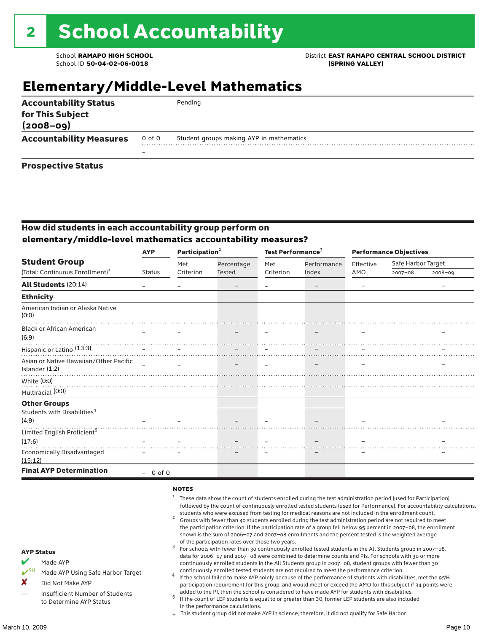### School **RAMAPO HIGH SCHOOL** District **EAST RAMAPO CENTRAL SCHOOL DISTRICT**

### **Elementary/Middle-Level Mathematics**

| <b>Accountability Status</b><br>for This Subject<br>$(2008 - 09)$ |        | Pending                                  |
|-------------------------------------------------------------------|--------|------------------------------------------|
| <b>Accountability Measures</b>                                    | 0 of 0 | Student groups making AYP in mathematics |
|                                                                   |        |                                          |
| <b>Prospective Status</b>                                         |        |                                          |

### How did students in each accountability group perform on **elementary/middle-level mathematics accountability measures?**

|                                                          | Participation <sup>2</sup><br><b>AYP</b> |           |            | Test Performance <sup>3</sup> |                   | <b>Performance Objectives</b> |                    |             |
|----------------------------------------------------------|------------------------------------------|-----------|------------|-------------------------------|-------------------|-------------------------------|--------------------|-------------|
| <b>Student Group</b>                                     |                                          | Met       | Percentage | Met<br>Criterion              | Performance       | Effective                     | Safe Harbor Target |             |
| (Total: Continuous Enrollment) <sup>1</sup>              | <b>Status</b>                            | Criterion | Tested     |                               | Index             | AMO                           | $2007 - 08$        | $2008 - 09$ |
| All Students (20:14)                                     |                                          |           |            |                               | $\qquad \qquad -$ |                               |                    |             |
| <b>Ethnicity</b>                                         |                                          |           |            |                               |                   |                               |                    |             |
| American Indian or Alaska Native<br>(0:0)                |                                          |           |            |                               |                   |                               |                    |             |
| <b>Black or African American</b>                         |                                          |           |            |                               |                   |                               |                    |             |
|                                                          |                                          |           |            |                               |                   |                               |                    |             |
| Asian or Native Hawaiian/Other Pacific<br>Islander (1:2) | $\overline{\phantom{a}}$                 |           |            |                               |                   |                               |                    |             |
| White (0:0)                                              |                                          |           |            |                               |                   |                               |                    |             |
| Multiracial (0:0)                                        |                                          |           |            |                               |                   |                               |                    |             |
| <b>Other Groups</b>                                      |                                          |           |            |                               |                   |                               |                    |             |
| Students with Disabilities <sup>4</sup><br>(4:9)         |                                          |           |            |                               |                   |                               |                    |             |
| Limited English Proficient <sup>5</sup>                  |                                          |           |            |                               |                   |                               |                    |             |
| (17:6)                                                   |                                          |           |            |                               |                   |                               |                    |             |
| <b>Economically Disadvantaged</b><br>(15:12)             |                                          |           |            |                               |                   |                               |                    |             |
| <b>Final AYP Determination</b>                           | $-0$ of 0                                |           |            |                               |                   |                               |                    |             |

#### **NOTES**

- $1$  These data show the count of students enrolled during the test administration period (used for Participation) followed by the count of continuously enrolled tested students (used for Performance). For accountability calculations,
- students who were excused from testing for medical reasons are not included in the enrollment count.<br><sup>2</sup> Groups with fewer than 40 students enrolled during the test administration period are not required to meet the participation criterion. If the participation rate of a group fell below 95 percent in 2007–08, the enrollment shown is the sum of 2006–07 and 2007–08 enrollments and the percent tested is the weighted average
- of the participation rates over those two years.<br><sup>3</sup> For schools with fewer than 30 continuously enrolled tested students in the All Students group in 2007–08, data for 2006–07 and 2007–08 were combined to determine counts and PIs. For schools with 30 or more continuously enrolled students in the All Students group in 2007–08, student groups with fewer than 30
- continuously enrolled tested students are not required to meet the performance criterion. <sup>4</sup> If the school failed to make AYP solely because of the performance of students with disabilities, met the 95% participation requirement for this group, and would meet or exceed the AMO for this subject if 34 points were added to the PI, then the school is considered to have made AYP for students with disabilities.
- $5$  If the count of LEP students is equal to or greater than 30, former LEP students are also included in the performance calculations.
- ‡ This student group did not make AYP in science; therefore, it did not qualify for Safe Harbor.

AYP Status Made AYP

X Did Not Make AYP

Made AYP Using Safe Harbor Target

Insufficient Number of Students to Determine AYP Status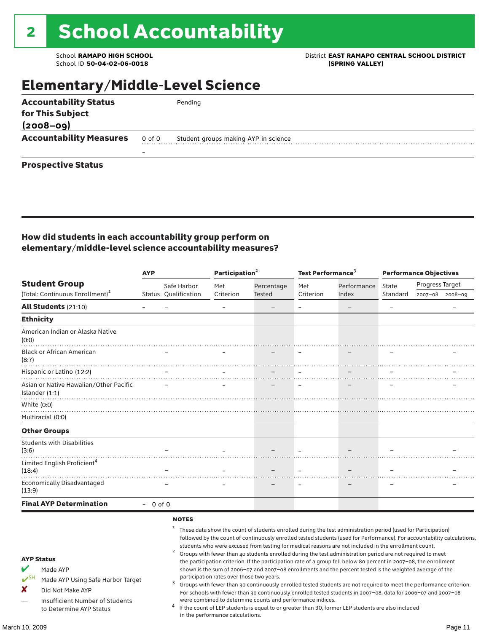School ID 50-04-02-06-0018

### School **RAMAPO HIGH SCHOOL**<br>School ID 50-04-02-06-0018<br>GPRING VALLEY)

### Elementary/Middle-Level Science

| <b>Accountability Status</b>   |        | Pending                              |
|--------------------------------|--------|--------------------------------------|
| for This Subject               |        |                                      |
| $(2008 - 09)$                  |        |                                      |
| <b>Accountability Measures</b> | 0 of 0 | Student groups making AYP in science |
|                                | –      |                                      |
| <b>Prospective Status</b>      |        |                                      |

### How did students in each accountability group perform on elementary/middle-level science accountability measures?

|                                                                                                                                                        | <b>AYP</b> |                      | Participation $2$                                                                                                                                                                                                                                                                                                                                                                                                                                                                                                                                                                                                                                                                                                                                                                                                                                                                                                                                                                                                                                    |               | Test Performance <sup>3</sup> |             | <b>Performance Objectives</b> |                 |                 |
|--------------------------------------------------------------------------------------------------------------------------------------------------------|------------|----------------------|------------------------------------------------------------------------------------------------------------------------------------------------------------------------------------------------------------------------------------------------------------------------------------------------------------------------------------------------------------------------------------------------------------------------------------------------------------------------------------------------------------------------------------------------------------------------------------------------------------------------------------------------------------------------------------------------------------------------------------------------------------------------------------------------------------------------------------------------------------------------------------------------------------------------------------------------------------------------------------------------------------------------------------------------------|---------------|-------------------------------|-------------|-------------------------------|-----------------|-----------------|
| <b>Student Group</b>                                                                                                                                   |            | Safe Harbor          | Met                                                                                                                                                                                                                                                                                                                                                                                                                                                                                                                                                                                                                                                                                                                                                                                                                                                                                                                                                                                                                                                  | Percentage    | Met                           | Performance | State                         | Progress Target |                 |
| (Total: Continuous Enrollment) <sup>1</sup>                                                                                                            |            | Status Qualification | Criterion                                                                                                                                                                                                                                                                                                                                                                                                                                                                                                                                                                                                                                                                                                                                                                                                                                                                                                                                                                                                                                            | <b>Tested</b> | Criterion                     | Index       | Standard                      |                 | 2007-08 2008-09 |
| All Students (21:10)                                                                                                                                   |            |                      |                                                                                                                                                                                                                                                                                                                                                                                                                                                                                                                                                                                                                                                                                                                                                                                                                                                                                                                                                                                                                                                      |               |                               |             | $\equiv$                      |                 |                 |
| <b>Ethnicity</b>                                                                                                                                       |            |                      |                                                                                                                                                                                                                                                                                                                                                                                                                                                                                                                                                                                                                                                                                                                                                                                                                                                                                                                                                                                                                                                      |               |                               |             |                               |                 |                 |
| American Indian or Alaska Native<br>(0:0)                                                                                                              |            |                      |                                                                                                                                                                                                                                                                                                                                                                                                                                                                                                                                                                                                                                                                                                                                                                                                                                                                                                                                                                                                                                                      |               |                               |             |                               |                 |                 |
| <b>Black or African American</b><br>(8:7)                                                                                                              |            |                      |                                                                                                                                                                                                                                                                                                                                                                                                                                                                                                                                                                                                                                                                                                                                                                                                                                                                                                                                                                                                                                                      |               |                               |             |                               |                 |                 |
| Hispanic or Latino (12:2)                                                                                                                              |            |                      |                                                                                                                                                                                                                                                                                                                                                                                                                                                                                                                                                                                                                                                                                                                                                                                                                                                                                                                                                                                                                                                      |               |                               |             |                               |                 |                 |
| Asian or Native Hawaiian/Other Pacific<br>Islander $(1:1)$                                                                                             |            |                      |                                                                                                                                                                                                                                                                                                                                                                                                                                                                                                                                                                                                                                                                                                                                                                                                                                                                                                                                                                                                                                                      |               |                               |             |                               |                 |                 |
| White (0:0)                                                                                                                                            |            |                      |                                                                                                                                                                                                                                                                                                                                                                                                                                                                                                                                                                                                                                                                                                                                                                                                                                                                                                                                                                                                                                                      |               |                               |             |                               |                 |                 |
| Multiracial (0:0)                                                                                                                                      |            |                      |                                                                                                                                                                                                                                                                                                                                                                                                                                                                                                                                                                                                                                                                                                                                                                                                                                                                                                                                                                                                                                                      |               |                               |             |                               |                 |                 |
| <b>Other Groups</b>                                                                                                                                    |            |                      |                                                                                                                                                                                                                                                                                                                                                                                                                                                                                                                                                                                                                                                                                                                                                                                                                                                                                                                                                                                                                                                      |               |                               |             |                               |                 |                 |
| <b>Students with Disabilities</b><br>(3:6)                                                                                                             |            |                      |                                                                                                                                                                                                                                                                                                                                                                                                                                                                                                                                                                                                                                                                                                                                                                                                                                                                                                                                                                                                                                                      |               |                               |             |                               |                 |                 |
| Limited English Proficient <sup>4</sup><br>(18:4)                                                                                                      |            |                      |                                                                                                                                                                                                                                                                                                                                                                                                                                                                                                                                                                                                                                                                                                                                                                                                                                                                                                                                                                                                                                                      |               |                               |             |                               |                 |                 |
| <b>Economically Disadvantaged</b><br>(13:9)                                                                                                            |            |                      |                                                                                                                                                                                                                                                                                                                                                                                                                                                                                                                                                                                                                                                                                                                                                                                                                                                                                                                                                                                                                                                      |               |                               |             |                               |                 |                 |
| <b>Final AYP Determination</b>                                                                                                                         | $-0$ of 0  |                      |                                                                                                                                                                                                                                                                                                                                                                                                                                                                                                                                                                                                                                                                                                                                                                                                                                                                                                                                                                                                                                                      |               |                               |             |                               |                 |                 |
|                                                                                                                                                        |            | <b>NOTES</b>         |                                                                                                                                                                                                                                                                                                                                                                                                                                                                                                                                                                                                                                                                                                                                                                                                                                                                                                                                                                                                                                                      |               |                               |             |                               |                 |                 |
| <b>AYP Status</b><br>V<br>Made AYP<br>$V^{SH}$<br>Made AYP Using Safe Harbor Target<br>x<br>Did Not Make AYP<br><b>Insufficient Number of Students</b> |            | 2<br>3               | These data show the count of students enrolled during the test administration period (used for Participation)<br>followed by the count of continuously enrolled tested students (used for Performance). For accountability calculations,<br>students who were excused from testing for medical reasons are not included in the enrollment count.<br>Groups with fewer than 40 students enrolled during the test administration period are not required to meet<br>the participation criterion. If the participation rate of a group fell below 80 percent in 2007-08, the enrollment<br>shown is the sum of 2006-07 and 2007-08 enrollments and the percent tested is the weighted average of the<br>participation rates over those two years.<br>Groups with fewer than 30 continuously enrolled tested students are not required to meet the performance criterion.<br>For schools with fewer than 30 continuously enrolled tested students in 2007-08, data for 2006-07 and 2007-08<br>were combined to determine counts and performance indices. |               |                               |             |                               |                 |                 |

were combined to determine counts and performance indices. <sup>4</sup> If the count of LEP students is equal to or greater than 30, former LEP students are also included in the performance calculations.

to Determine AYP Status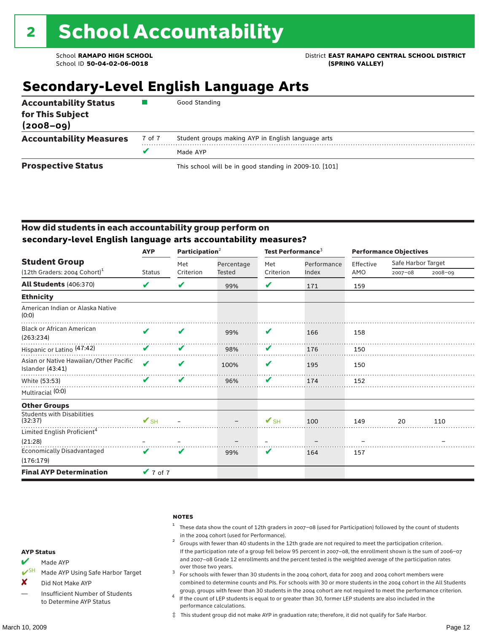### School **RAMAPO HIGH SCHOOL** District **EAST RAMAPO CENTRAL SCHOOL DISTRICT**

### **Secondary-Level English Language Arts**

| <b>Accountability Status</b><br>for This Subject<br>$(2008 - 09)$ |        | Good Standing                                          |
|-------------------------------------------------------------------|--------|--------------------------------------------------------|
| <b>Accountability Measures</b>                                    | 7 of 7 | Student groups making AYP in English language arts     |
|                                                                   |        | Made AYP                                               |
| <b>Prospective Status</b>                                         |        | This school will be in good standing in 2009-10. [101] |

### How did students in each accountability group perform on **secondary-level English language arts accountability measures?**

|                                                            | <b>AYP</b>                 | Participation $2$ |               | Test Performance <sup>3</sup> |             | <b>Performance Objectives</b> |                    |         |
|------------------------------------------------------------|----------------------------|-------------------|---------------|-------------------------------|-------------|-------------------------------|--------------------|---------|
| <b>Student Group</b>                                       |                            | Met               | Percentage    | Met                           | Performance | Effective                     | Safe Harbor Target |         |
| $(12th$ Graders: 2004 Cohort) <sup>1</sup>                 | <b>Status</b>              | Criterion         | <b>Tested</b> | Criterion                     | Index       | AMO                           | $2007 - 08$        | 2008-09 |
| All Students (406:370)                                     | V                          | V                 | 99%           | V                             | 171         | 159                           |                    |         |
| <b>Ethnicity</b>                                           |                            |                   |               |                               |             |                               |                    |         |
| American Indian or Alaska Native<br>(0:0)                  |                            |                   |               |                               |             |                               |                    |         |
| <b>Black or African American</b><br>(263:234)              | V                          | V                 | 99%           | V                             | 166         | 158                           |                    |         |
| Hispanic or Latino (47:42)                                 | V                          | V                 | 98%           | V                             | 176         | 150                           |                    |         |
| Asian or Native Hawaiian/Other Pacific<br>Islander (43:41) | $\boldsymbol{\mathcal{L}}$ | V                 | 100%          | V                             | 195         | 150                           |                    |         |
| White (53:53)                                              |                            | V                 | 96%           | V                             | 174         | 152                           |                    |         |
| Multiracial (0:0)                                          |                            |                   |               |                               |             |                               |                    |         |
| <b>Other Groups</b>                                        |                            |                   |               |                               |             |                               |                    |         |
| <b>Students with Disabilities</b><br>(32:37)               | $\mathbf{V}_{\text{SH}}$   |                   |               | $\mathbf{V}_{\text{SH}}$      | 100         | 149                           | 20                 | 110     |
| Limited English Proficient <sup>4</sup>                    |                            |                   |               |                               |             |                               |                    |         |
| (21:28)                                                    |                            |                   |               |                               |             |                               |                    |         |
| Economically Disadvantaged                                 | ✔                          | V                 | 99%           | V                             | 164         | 157                           |                    |         |
| (176:179)                                                  |                            |                   |               |                               |             |                               |                    |         |
| <b>Final AYP Determination</b>                             | $V$ 7 of 7                 |                   |               |                               |             |                               |                    |         |

#### notes

- <sup>1</sup> These data show the count of 12th graders in 2007–08 (used for Participation) followed by the count of students
- in the 2004 cohort (used for Performance).<br><sup>2</sup> Groups with fewer than 40 students in the 12th grade are not required to meet the participation criterion. If the participation rate of a group fell below 95 percent in 2007–08, the enrollment shown is the sum of 2006–07 and 2007–08 Grade 12 enrollments and the percent tested is the weighted average of the participation rates
- over those two years.  $^3$  For schools with fewer than 30 students in the 2004 cohort, data for 2003 and 2004 cohort members were combined to determine counts and PIs. For schools with 30 or more students in the 2004 cohort in the All Students
- group, groups with fewer than 30 students in the 2004 cohort are not required to meet the performance criterion. <sup>4</sup> If the count of LEP students is equal to or greater than 30, former LEP students are also included in the performance calculations.
- ‡ This student group did not make AYP in graduation rate; therefore, it did not qualify for Safe Harbor.
- Made AYP
- <del></del> I<sup>SH</sup> Made AYP Using Safe Harbor Target
- X Did Not Make AYP
- Insufficient Number of Students to Determine AYP Status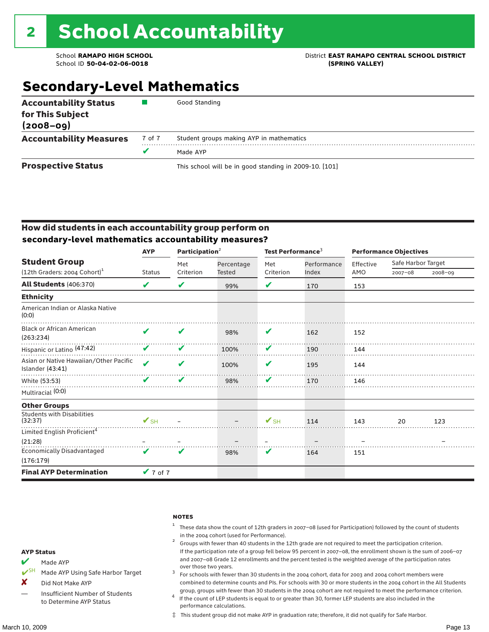### School **RAMAPO HIGH SCHOOL** District **EAST RAMAPO CENTRAL SCHOOL DISTRICT**

### **Secondary-Level Mathematics**

| <b>Accountability Status</b><br>for This Subject<br>$(2008 - 09)$ |        | Good Standing                                          |
|-------------------------------------------------------------------|--------|--------------------------------------------------------|
| <b>Accountability Measures</b>                                    | 7 of 7 | Student groups making AYP in mathematics               |
|                                                                   |        | Made AYP                                               |
| <b>Prospective Status</b>                                         |        | This school will be in good standing in 2009-10. [101] |

### How did students in each accountability group perform on **secondary-level mathematics accountability measures?**

|                                                            | <b>AYP</b>                 | Participation <sup>2</sup> |            | Test Performance <sup>3</sup> |                      | <b>Performance Objectives</b> |                    |             |
|------------------------------------------------------------|----------------------------|----------------------------|------------|-------------------------------|----------------------|-------------------------------|--------------------|-------------|
| <b>Student Group</b>                                       |                            | Met                        | Percentage | Met                           | Performance<br>Index | Effective                     | Safe Harbor Target |             |
| (12th Graders: 2004 Cohort) <sup>1</sup>                   | <b>Status</b>              | Criterion                  | Tested     | Criterion                     |                      | AMO                           | $2007 - 08$        | $2008 - 09$ |
| <b>All Students (406:370)</b>                              | V                          | V                          | 99%        | V                             | 170                  | 153                           |                    |             |
| <b>Ethnicity</b>                                           |                            |                            |            |                               |                      |                               |                    |             |
| American Indian or Alaska Native<br>(0:0)                  |                            |                            |            |                               |                      |                               |                    |             |
| <b>Black or African American</b><br>(263:234)              | ✔                          | V                          | 98%        | V                             | 162                  | 152                           |                    |             |
| Hispanic or Latino (47:42)                                 | ✔                          | V                          | 100%       | V                             | 190                  | 144                           |                    |             |
| Asian or Native Hawaiian/Other Pacific<br>Islander (43:41) | $\boldsymbol{\mathcal{L}}$ | V                          | 100%       | V                             | 195                  | 144                           |                    |             |
| White (53:53)                                              | v                          | V                          | 98%        | V                             | 170                  | 146                           |                    |             |
| Multiracial (0:0)                                          |                            |                            |            |                               |                      |                               |                    |             |
| <b>Other Groups</b>                                        |                            |                            |            |                               |                      |                               |                    |             |
| <b>Students with Disabilities</b><br>(32:37)               | $\mathbf{V}_{\text{SH}}$   |                            |            | $\mathbf{V}_{\text{SH}}$      | 114                  | 143                           | 20                 | 123         |
| Limited English Proficient <sup>4</sup>                    |                            |                            |            |                               |                      |                               |                    |             |
| (21:28)                                                    |                            |                            |            |                               |                      |                               |                    |             |
| <b>Economically Disadvantaged</b>                          | ✔                          | V                          | 98%        | V                             | 164                  | 151                           |                    |             |
| (176:179)                                                  |                            |                            |            |                               |                      |                               |                    |             |
| <b>Final AYP Determination</b>                             | $V$ 7 of 7                 |                            |            |                               |                      |                               |                    |             |

#### **NOTES**

- <sup>1</sup> These data show the count of 12th graders in 2007–08 (used for Participation) followed by the count of students
- in the 2004 cohort (used for Performance).<br><sup>2</sup> Groups with fewer than 40 students in the 12th grade are not required to meet the participation criterion. If the participation rate of a group fell below 95 percent in 2007–08, the enrollment shown is the sum of 2006–07 and 2007–08 Grade 12 enrollments and the percent tested is the weighted average of the participation rates
- over those two years.  $^3$  For schools with fewer than 30 students in the 2004 cohort, data for 2003 and 2004 cohort members were combined to determine counts and PIs. For schools with 30 or more students in the 2004 cohort in the All Students
- group, groups with fewer than 30 students in the 2004 cohort are not required to meet the performance criterion. <sup>4</sup> If the count of LEP students is equal to or greater than 30, former LEP students are also included in the performance calculations.
- ‡ This student group did not make AYP in graduation rate; therefore, it did not qualify for Safe Harbor.
- Made AYP
- ✔SH Made AYP Using Safe Harbor Target
- X Did Not Make AYP
- Insufficient Number of Students to Determine AYP Status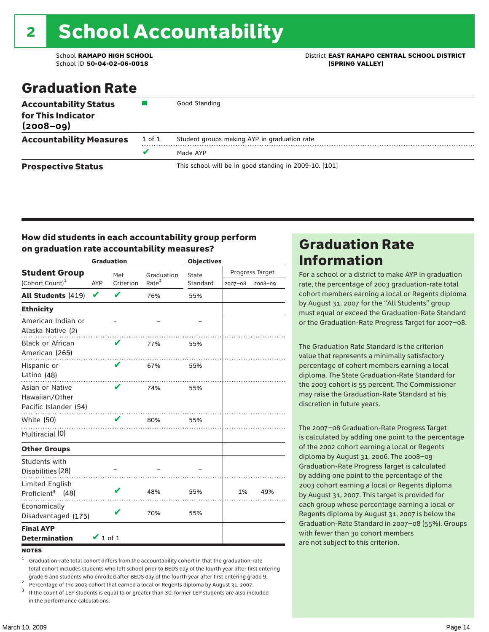# 2 School Accountability

School ID **50-04-02-06-0018 (SPRING VALLEY)**

School **RAMAPO HIGH SCHOOL** District **EAST RAMAPO CENTRAL SCHOOL DISTRICT**

### Graduation Rate

| <b>Accountability Status</b><br>for This Indicator<br>$(2008 - 09)$ |        | Good Standing                                          |
|---------------------------------------------------------------------|--------|--------------------------------------------------------|
| <b>Accountability Measures</b>                                      | 1 of 1 | Student groups making AYP in graduation rate           |
|                                                                     | v      | Made AYP                                               |
| <b>Prospective Status</b>                                           |        | This school will be in good standing in 2009-10. [101] |

#### How did students in each accountability group perform on graduation rate accountability measures?

|                                                            |               | <b>Graduation</b> |                   | <b>Objectives</b> |             |                 |  |
|------------------------------------------------------------|---------------|-------------------|-------------------|-------------------|-------------|-----------------|--|
| <b>Student Group</b>                                       |               | Met               | Graduation        | State             |             | Progress Target |  |
| (Cohort Count) <sup>1</sup>                                | <b>AYP</b>    | Criterion         | Rate <sup>2</sup> | Standard          | $2007 - 08$ | $2008 - 09$     |  |
| All Students (419)                                         | V             | V                 | 76%               | 55%               |             |                 |  |
| <b>Ethnicity</b>                                           |               |                   |                   |                   |             |                 |  |
| American Indian or<br>Alaska Native (2)                    |               |                   |                   |                   |             |                 |  |
| Black or African<br>American (265)                         |               | V                 | 77%               | 55%               |             |                 |  |
| Hispanic or<br>Latino (48)                                 |               | V                 | 67%               | 55%               |             |                 |  |
| Asian or Native<br>Hawaiian/Other<br>Pacific Islander (54) |               | ✔                 | 74%               | 55%               |             |                 |  |
| White (50)                                                 |               | V                 | 80%               | 55%               |             |                 |  |
| Multiracial (0)                                            |               |                   |                   |                   |             |                 |  |
| <b>Other Groups</b>                                        |               |                   |                   |                   |             |                 |  |
| Students with<br>Disabilities (28)                         |               |                   |                   |                   |             |                 |  |
| Limited English<br>Proficient <sup>3</sup> (48)            |               |                   | 48%               | 55%               | 1%          | 49%             |  |
| Economically<br>Disadvantaged (175)                        |               |                   | 70%               | 55%               |             |                 |  |
| <b>Final AYP</b><br><b>Determination</b>                   | $\vee$ 1 of 1 |                   |                   |                   |             |                 |  |

**NOTES** 

<sup>1</sup> Graduation-rate total cohort differs from the accountability cohort in that the graduation-rate total cohort includes students who left school prior to BEDS day of the fourth year after first entering

grade 9 and students who enrolled after BEDS day of the fourth year after first entering grade 9.<br>
<sup>2</sup> Percentage of the 2003 cohort that earned a local or Regents diploma by August 31, 2007.<br>
<sup>3</sup> If the count of LEP stud

in the performance calculations.

### Graduation Rate Information

For a school or a district to make AYP in graduation rate, the percentage of 2003 graduation-rate total cohort members earning a local or Regents diploma by August 31, 2007 for the "All Students" group must equal or exceed the Graduation-Rate Standard or the Graduation-Rate Progress Target for 2007–08.

The Graduation Rate Standard is the criterion value that represents a minimally satisfactory percentage of cohort members earning a local diploma. The State Graduation-Rate Standard for the 2003 cohort is 55 percent. The Commissioner may raise the Graduation-Rate Standard at his discretion in future years.

The 2007–08 Graduation-Rate Progress Target is calculated by adding one point to the percentage of the 2002 cohort earning a local or Regents diploma by August 31, 2006. The 2008–09 Graduation-Rate Progress Target is calculated by adding one point to the percentage of the 2003 cohort earning a local or Regents diploma by August 31, 2007. This target is provided for each group whose percentage earning a local or Regents diploma by August 31, 2007 is below the Graduation-Rate Standard in 2007–08 (55%). Groups with fewer than 30 cohort members are not subject to this criterion.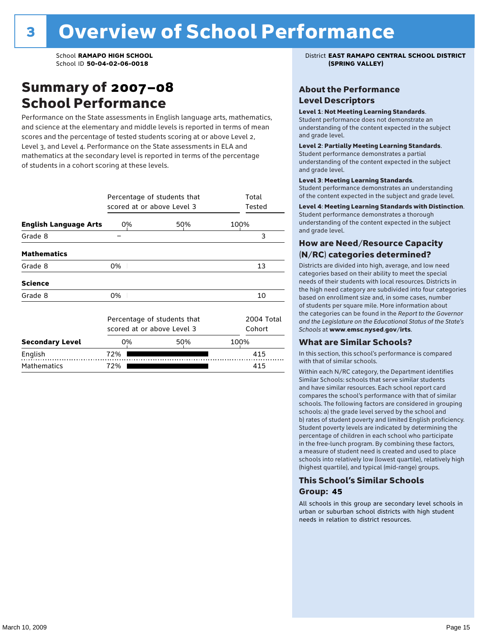### Summary of 2007–08 School Performance

Performance on the State assessments in English language arts, mathematics, and science at the elementary and middle levels is reported in terms of mean scores and the percentage of tested students scoring at or above Level 2, Level 3, and Level 4. Performance on the State assessments in ELA and mathematics at the secondary level is reported in terms of the percentage of students in a cohort scoring at these levels.

|                              | Percentage of students that<br>scored at or above Level 3 | Total<br>Tested                                           |                      |
|------------------------------|-----------------------------------------------------------|-----------------------------------------------------------|----------------------|
| <b>English Language Arts</b> | 0%                                                        | 50%                                                       | 100%                 |
| Grade 8                      |                                                           |                                                           | 3                    |
| <b>Mathematics</b>           |                                                           |                                                           |                      |
| Grade 8                      | 0%                                                        |                                                           | 13                   |
| <b>Science</b>               |                                                           |                                                           |                      |
| Grade 8                      | 0%                                                        |                                                           | 10                   |
|                              |                                                           | Percentage of students that<br>scored at or above Level 3 | 2004 Total<br>Cohort |
| <b>Secondary Level</b>       | 0%                                                        | 50%                                                       | 100%                 |
| English                      | 72%                                                       |                                                           | 415                  |
| <b>Mathematics</b>           | 72%                                                       |                                                           | 415                  |

School **RAMAPO HIGH SCHOOL** District **EAST RAMAPO CENTRAL SCHOOL DISTRICT**

### About the Performance Level Descriptors

#### Level 1: Not Meeting Learning Standards.

Student performance does not demonstrate an understanding of the content expected in the subject and grade level.

#### Level 2: Partially Meeting Learning Standards.

Student performance demonstrates a partial understanding of the content expected in the subject and grade level.

#### Level 3: Meeting Learning Standards.

Student performance demonstrates an understanding of the content expected in the subject and grade level.

#### Level 4: Meeting Learning Standards with Distinction.

Student performance demonstrates a thorough understanding of the content expected in the subject and grade level.

#### How are Need/Resource Capacity (N/RC) categories determined?

Districts are divided into high, average, and low need categories based on their ability to meet the special needs of their students with local resources. Districts in the high need category are subdivided into four categories based on enrollment size and, in some cases, number of students per square mile. More information about the categories can be found in the *Report to the Governor and the Legislature on the Educational Status of the State's Schools* at www.emsc.nysed.gov/irts.

#### What are Similar Schools?

In this section, this school's performance is compared with that of similar schools.

Within each N/RC category, the Department identifies Similar Schools: schools that serve similar students and have similar resources. Each school report card compares the school's performance with that of similar schools. The following factors are considered in grouping schools: a) the grade level served by the school and b) rates of student poverty and limited English proficiency. Student poverty levels are indicated by determining the percentage of children in each school who participate in the free-lunch program. By combining these factors, a measure of student need is created and used to place schools into relatively low (lowest quartile), relatively high (highest quartile), and typical (mid-range) groups.

### This School's Similar Schools Group: **45**

All schools in this group are secondary level schools in urban or suburban school districts with high student needs in relation to district resources.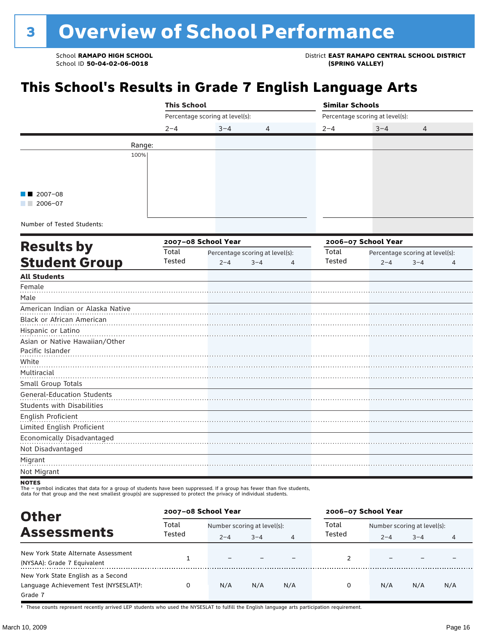School **RAMAPO HIGH SCHOOL** District **EAST RAMAPO CENTRAL SCHOOL DISTRICT**

## **This School's Results in Grade 7 English Language Arts**

|                                   | <b>This School</b> |                                 |                                 |         | <b>Similar Schools</b>          |                                 |   |  |  |
|-----------------------------------|--------------------|---------------------------------|---------------------------------|---------|---------------------------------|---------------------------------|---|--|--|
|                                   |                    | Percentage scoring at level(s): |                                 |         | Percentage scoring at level(s): |                                 |   |  |  |
|                                   | $2 - 4$            | $3 - 4$                         | 4                               | $2 - 4$ | $3 - 4$                         | 4                               |   |  |  |
| Range:                            |                    |                                 |                                 |         |                                 |                                 |   |  |  |
| 100%                              |                    |                                 |                                 |         |                                 |                                 |   |  |  |
|                                   |                    |                                 |                                 |         |                                 |                                 |   |  |  |
|                                   |                    |                                 |                                 |         |                                 |                                 |   |  |  |
|                                   |                    |                                 |                                 |         |                                 |                                 |   |  |  |
| $2007 - 08$                       |                    |                                 |                                 |         |                                 |                                 |   |  |  |
| $2006 - 07$                       |                    |                                 |                                 |         |                                 |                                 |   |  |  |
|                                   |                    |                                 |                                 |         |                                 |                                 |   |  |  |
| Number of Tested Students:        |                    |                                 |                                 |         |                                 |                                 |   |  |  |
|                                   |                    | 2007-08 School Year             |                                 |         | 2006-07 School Year             |                                 |   |  |  |
| <b>Results by</b>                 | Total              |                                 | Percentage scoring at level(s): | Total   |                                 | Percentage scoring at level(s): |   |  |  |
| <b>Student Group</b>              | Tested             | $2 - 4$                         | $3 - 4$<br>4                    | Tested  | $2 - 4$                         | $3 - 4$                         | 4 |  |  |
| <b>All Students</b>               |                    |                                 |                                 |         |                                 |                                 |   |  |  |
| Female                            |                    |                                 |                                 |         |                                 |                                 |   |  |  |
| Male                              |                    |                                 |                                 |         |                                 |                                 |   |  |  |
| American Indian or Alaska Native  |                    |                                 |                                 |         |                                 |                                 |   |  |  |
| Black or African American         |                    |                                 |                                 |         |                                 |                                 |   |  |  |
| Hispanic or Latino                |                    |                                 |                                 |         |                                 |                                 |   |  |  |
| Asian or Native Hawaiian/Other    |                    |                                 |                                 |         |                                 |                                 |   |  |  |
| Pacific Islander                  |                    |                                 |                                 |         |                                 |                                 |   |  |  |
| White                             |                    |                                 |                                 |         |                                 |                                 |   |  |  |
| Multiracial                       |                    |                                 |                                 |         |                                 |                                 |   |  |  |
| Small Group Totals                |                    |                                 |                                 |         |                                 |                                 |   |  |  |
| <b>General-Education Students</b> |                    |                                 |                                 |         |                                 |                                 |   |  |  |
| <b>Students with Disabilities</b> |                    |                                 |                                 |         |                                 |                                 |   |  |  |
| English Proficient                |                    |                                 |                                 |         |                                 |                                 |   |  |  |
| Limited English Proficient        |                    |                                 |                                 |         |                                 |                                 |   |  |  |
| Economically Disadvantaged        |                    |                                 |                                 |         |                                 |                                 |   |  |  |
| Not Disadvantaged                 |                    |                                 |                                 |         |                                 |                                 |   |  |  |
| Migrant                           |                    |                                 |                                 |         |                                 |                                 |   |  |  |
| Not Migrant                       |                    |                                 |                                 |         |                                 |                                 |   |  |  |
| NATES                             |                    |                                 |                                 |         |                                 |                                 |   |  |  |

NOTES<br>The – symbol indicates that data for a group of students have been suppressed. If a group has fewer than five students,<br>data for that group and the next smallest group(s) are suppressed to protect the privacy of indi

| <b>Other</b>                                                                            |                 | 2007-08 School Year                    |         |     |                 | 2006-07 School Year                    |         |     |  |
|-----------------------------------------------------------------------------------------|-----------------|----------------------------------------|---------|-----|-----------------|----------------------------------------|---------|-----|--|
| <b>Assessments</b>                                                                      | Total<br>Tested | Number scoring at level(s):<br>$2 - 4$ | $3 - 4$ | 4   | Total<br>Tested | Number scoring at level(s):<br>$2 - 4$ | $3 - 4$ | 4   |  |
| New York State Alternate Assessment<br>(NYSAA): Grade 7 Equivalent                      |                 |                                        |         |     |                 |                                        |         |     |  |
| New York State English as a Second<br>Language Achievement Test (NYSESLAT)t:<br>Grade 7 |                 | N/A                                    | N/A     | N/A | 0               | N/A                                    | N/A     | N/A |  |

† These counts represent recently arrived LEP students who used the NYSESLAT to fulfill the English language arts participation requirement.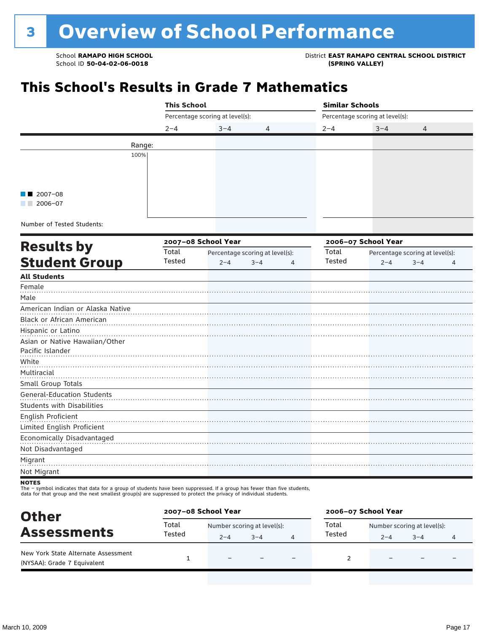School **RAMAPO HIGH SCHOOL**<br>School ID 50-04-02-06-0018<br>GPRING VALLEY)

## **This School's Results in Grade 7 Mathematics**

|                                                         | <b>This School</b> |                                 |                                 |         | <b>Similar Schools</b>          |                                 |                |  |  |
|---------------------------------------------------------|--------------------|---------------------------------|---------------------------------|---------|---------------------------------|---------------------------------|----------------|--|--|
|                                                         |                    | Percentage scoring at level(s): |                                 |         | Percentage scoring at level(s): |                                 |                |  |  |
|                                                         | $2 - 4$            | $3 - 4$                         | 4                               | $2 - 4$ | $3 - 4$                         | 4                               |                |  |  |
|                                                         | Range:             |                                 |                                 |         |                                 |                                 |                |  |  |
|                                                         | 100%               |                                 |                                 |         |                                 |                                 |                |  |  |
|                                                         |                    |                                 |                                 |         |                                 |                                 |                |  |  |
|                                                         |                    |                                 |                                 |         |                                 |                                 |                |  |  |
|                                                         |                    |                                 |                                 |         |                                 |                                 |                |  |  |
| $2007 - 08$<br>$12006 - 07$                             |                    |                                 |                                 |         |                                 |                                 |                |  |  |
|                                                         |                    |                                 |                                 |         |                                 |                                 |                |  |  |
| Number of Tested Students:                              |                    |                                 |                                 |         |                                 |                                 |                |  |  |
|                                                         |                    | 2007-08 School Year             |                                 |         | 2006-07 School Year             |                                 |                |  |  |
| <b>Results by</b>                                       | Total              |                                 | Percentage scoring at level(s): | Total   |                                 | Percentage scoring at level(s): |                |  |  |
| <b>Student Group</b>                                    | Tested             | $2 - 4$                         | $3 - 4$<br>$\overline{4}$       | Tested  | $2 - 4$                         | $3 - 4$                         | $\overline{4}$ |  |  |
| <b>All Students</b>                                     |                    |                                 |                                 |         |                                 |                                 |                |  |  |
| Female                                                  |                    |                                 |                                 |         |                                 |                                 |                |  |  |
| Male                                                    |                    |                                 |                                 |         |                                 |                                 |                |  |  |
| American Indian or Alaska Native                        |                    |                                 |                                 |         |                                 |                                 |                |  |  |
| Black or African American                               |                    |                                 |                                 |         |                                 |                                 |                |  |  |
| Hispanic or Latino                                      |                    |                                 |                                 |         |                                 |                                 |                |  |  |
| Asian or Native Hawaiian/Other                          |                    |                                 |                                 |         |                                 |                                 |                |  |  |
| Pacific Islander                                        |                    |                                 |                                 |         |                                 |                                 |                |  |  |
| White                                                   |                    |                                 |                                 |         |                                 |                                 |                |  |  |
| Multiracial                                             |                    |                                 |                                 |         |                                 |                                 |                |  |  |
| Small Group Totals<br><b>General-Education Students</b> |                    |                                 |                                 |         |                                 |                                 |                |  |  |
| <b>Students with Disabilities</b>                       |                    |                                 |                                 |         |                                 |                                 |                |  |  |
| English Proficient                                      |                    |                                 |                                 |         |                                 |                                 |                |  |  |
| Limited English Proficient                              |                    |                                 |                                 |         |                                 |                                 |                |  |  |
| Economically Disadvantaged                              |                    |                                 |                                 |         |                                 |                                 |                |  |  |
| Not Disadvantaged                                       |                    |                                 |                                 |         |                                 |                                 |                |  |  |
| Migrant                                                 |                    |                                 |                                 |         |                                 |                                 |                |  |  |
| Not Migrant                                             |                    |                                 |                                 |         |                                 |                                 |                |  |  |

The – symbol indicates that data for a group of students have been suppressed. If a group has fewer than five students,<br>data for that group and the next smallest group(s) are suppressed to protect the privacy of individual

| <b>Other</b>                                                       |                                               | 2007-08 School Year |         |                          |        | 2006-07 School Year         |         |                |  |
|--------------------------------------------------------------------|-----------------------------------------------|---------------------|---------|--------------------------|--------|-----------------------------|---------|----------------|--|
|                                                                    | Total<br>Total<br>Number scoring at level(s): |                     |         |                          |        | Number scoring at level(s): |         |                |  |
| <b>Assessments</b>                                                 | Tested                                        | $2 - 4$             | $3 - 4$ |                          | Tested | $2 - 4$                     | $3 - 4$ | $\overline{a}$ |  |
| New York State Alternate Assessment<br>(NYSAA): Grade 7 Equivalent |                                               |                     |         | $\overline{\phantom{0}}$ |        | -                           | -       |                |  |

**NOTES**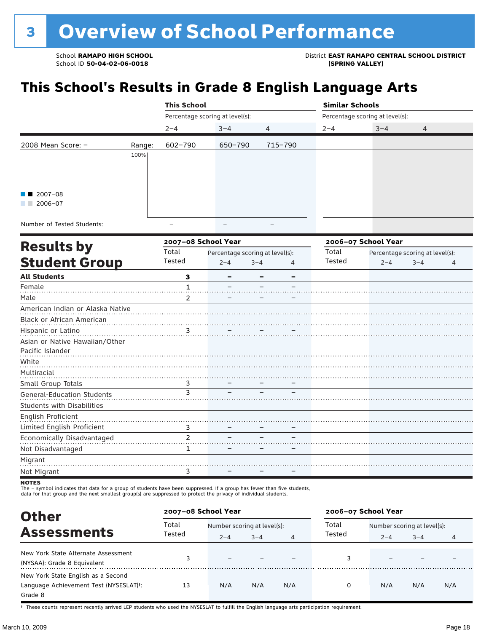## **This School's Results in Grade 8 English Language Arts**

|                                                                                                                 |        | <b>This School</b>              |         |                | <b>Similar Schools</b> |                                 |                |  |
|-----------------------------------------------------------------------------------------------------------------|--------|---------------------------------|---------|----------------|------------------------|---------------------------------|----------------|--|
|                                                                                                                 |        | Percentage scoring at level(s): |         |                |                        | Percentage scoring at level(s): |                |  |
|                                                                                                                 |        | $2 - 4$                         | $3 - 4$ | $\overline{4}$ | $2 - 4$                | $3 - 4$                         | $\overline{4}$ |  |
| 2008 Mean Score: $-$                                                                                            | Range: | 602-790                         | 650-790 | 715-790        |                        |                                 |                |  |
|                                                                                                                 | 100%   |                                 |         |                |                        |                                 |                |  |
|                                                                                                                 |        |                                 |         |                |                        |                                 |                |  |
|                                                                                                                 |        |                                 |         |                |                        |                                 |                |  |
| $\blacksquare$ 2007-08                                                                                          |        |                                 |         |                |                        |                                 |                |  |
| 2006-07                                                                                                         |        |                                 |         |                |                        |                                 |                |  |
| $\mathbf{r}$ . The contract of $\mathbf{r}$ and $\mathbf{r}$ and $\mathbf{r}$ and $\mathbf{r}$ and $\mathbf{r}$ |        |                                 |         |                |                        |                                 |                |  |

Number of Tested Students:

|                                   |                | 2007-08 School Year |                                 |   |        | 2006-07 School Year<br>Percentage scoring at level(s):<br>$2 - 4$<br>$3 - 4$<br>4 |  |  |
|-----------------------------------|----------------|---------------------|---------------------------------|---|--------|-----------------------------------------------------------------------------------|--|--|
| <b>Results by</b>                 | Total          |                     | Percentage scoring at level(s): |   | Total  |                                                                                   |  |  |
| <b>Student Group</b>              | Tested         | $2 - 4$             | $3 - 4$                         | 4 | Tested |                                                                                   |  |  |
| <b>All Students</b>               | 3              |                     |                                 |   |        |                                                                                   |  |  |
| Female                            |                |                     |                                 |   |        |                                                                                   |  |  |
| Male                              | $\mathcal{P}$  |                     |                                 |   |        |                                                                                   |  |  |
| American Indian or Alaska Native  |                |                     |                                 |   |        |                                                                                   |  |  |
| Black or African American         |                |                     |                                 |   |        |                                                                                   |  |  |
| Hispanic or Latino                | $\frac{3}{2}$  |                     |                                 |   |        |                                                                                   |  |  |
| Asian or Native Hawaiian/Other    |                |                     |                                 |   |        |                                                                                   |  |  |
| Pacific Islander                  |                |                     |                                 |   |        |                                                                                   |  |  |
| White                             |                |                     |                                 |   |        |                                                                                   |  |  |
| Multiracial                       |                |                     |                                 |   |        |                                                                                   |  |  |
| Small Group Totals                | 3              |                     |                                 |   |        |                                                                                   |  |  |
| General-Education Students        | ३              |                     |                                 |   |        |                                                                                   |  |  |
| <b>Students with Disabilities</b> |                |                     |                                 |   |        |                                                                                   |  |  |
| English Proficient                |                |                     |                                 |   |        |                                                                                   |  |  |
| Limited English Proficient        | 3              |                     |                                 |   |        |                                                                                   |  |  |
| Economically Disadvantaged        | $\mathfrak{p}$ |                     |                                 |   |        |                                                                                   |  |  |
| Not Disadvantaged                 | 1              |                     |                                 |   |        |                                                                                   |  |  |
| Migrant                           |                |                     |                                 |   |        |                                                                                   |  |  |
| Not Migrant                       | 3              |                     |                                 |   |        |                                                                                   |  |  |
| $\frac{1}{2}$                     |                |                     |                                 |   |        |                                                                                   |  |  |

NOTES<br>The – symbol indicates that data for a group of students have been suppressed. If a group has fewer than five students,<br>data for that group and the next smallest group(s) are suppressed to protect the privacy of indi

| <b>Other</b>                                                                                         | 2007-08 School Year |                             |         |                | 2006-07 School Year |                             |         |     |
|------------------------------------------------------------------------------------------------------|---------------------|-----------------------------|---------|----------------|---------------------|-----------------------------|---------|-----|
|                                                                                                      | Total               | Number scoring at level(s): |         |                | Total               | Number scoring at level(s): |         |     |
| <b>Assessments</b>                                                                                   | Tested              | $2 - 4$                     | $3 - 4$ | $\overline{4}$ | Tested              | $2 - 4$                     | $3 - 4$ | 4   |
| New York State Alternate Assessment<br>(NYSAA): Grade 8 Equivalent                                   |                     |                             |         |                |                     |                             |         |     |
| New York State English as a Second<br>Language Achievement Test (NYSESLAT) <sup>+</sup> :<br>Grade 8 | 13                  | N/A                         | N/A     | N/A            | 0                   | N/A                         | N/A     | N/A |

† These counts represent recently arrived LEP students who used the NYSESLAT to fulfill the English language arts participation requirement.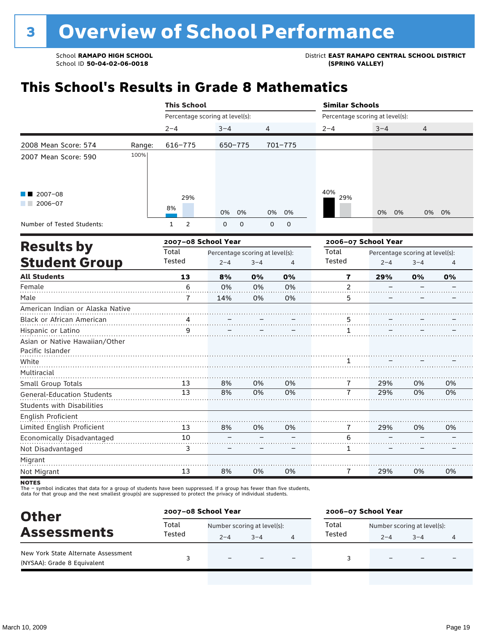## **This School's Results in Grade 8 Mathematics**

|                                   |        | <b>This School</b>              |                                 |             |                |                                 | <b>Similar Schools</b>          |         |    |  |
|-----------------------------------|--------|---------------------------------|---------------------------------|-------------|----------------|---------------------------------|---------------------------------|---------|----|--|
|                                   |        | Percentage scoring at level(s): |                                 |             |                | Percentage scoring at level(s): |                                 |         |    |  |
|                                   |        | $2 - 4$                         | $3 - 4$                         | 4           |                | $2 - 4$                         | $3 - 4$                         | 4       |    |  |
| 2008 Mean Score: 574              | Range: | $616 - 775$                     | 650-775                         |             | $701 - 775$    |                                 |                                 |         |    |  |
| 2007 Mean Score: 590              | 100%   |                                 |                                 |             |                |                                 |                                 |         |    |  |
| $2007 - 08$<br>$2006 - 07$        |        | 29%<br>8%                       | 0%<br>0%                        | 0%          | 0%             | 40%<br>29%                      | 0%<br>0%                        | 0%      | 0% |  |
| Number of Tested Students:        |        | $\overline{2}$<br>$\mathbf{1}$  | 0<br>0                          | $\mathbf 0$ | 0              |                                 |                                 |         |    |  |
|                                   |        | 2007-08 School Year             |                                 |             |                | 2006-07 School Year             |                                 |         |    |  |
| <b>Results by</b>                 |        | Total                           | Percentage scoring at level(s): |             |                | Total                           | Percentage scoring at level(s): |         |    |  |
| <b>Student Group</b>              |        | Tested                          | $2 - 4$                         | $3 - 4$     | $\overline{4}$ | Tested                          | $2 - 4$                         | $3 - 4$ | 4  |  |
| <b>All Students</b>               |        | 13                              | 8%                              | 0%          | 0%             | 7                               | 29%                             | 0%      | 0% |  |
| Female                            |        | 6                               | 0%                              | 0%          | 0%             | $\overline{2}$                  |                                 |         |    |  |
| Male                              |        | 7                               | 14%                             | 0%          | 0%             | 5                               |                                 |         |    |  |
| American Indian or Alaska Native  |        |                                 |                                 |             |                |                                 |                                 |         |    |  |
| <b>Black or African American</b>  |        |                                 |                                 |             |                | 5                               |                                 |         |    |  |
| Hispanic or Latino                |        | 9                               |                                 |             |                | $\mathbf{1}$                    |                                 |         |    |  |
| Asian or Native Hawaiian/Other    |        |                                 |                                 |             |                |                                 |                                 |         |    |  |
| Pacific Islander                  |        |                                 |                                 |             |                |                                 |                                 |         |    |  |
| White                             |        |                                 |                                 |             |                | 1                               |                                 |         |    |  |
| Multiracial                       |        |                                 |                                 |             |                |                                 |                                 |         |    |  |
| Small Group Totals                |        | 13                              | 8%                              | 0%          | 0%             | 7                               | 29%                             | 0%      | 0% |  |
| <b>General-Education Students</b> |        | 13                              | 8%                              | 0%          | 0%             | 7                               | 29%                             | 0%      | 0% |  |
| <b>Students with Disabilities</b> |        |                                 |                                 |             |                |                                 |                                 |         |    |  |
| English Proficient                |        |                                 |                                 |             |                |                                 |                                 |         |    |  |
| Limited English Proficient        |        | 13                              | 8%                              | 0%          | 0%             | 7                               | 29%                             | 0%      | 0% |  |
| Economically Disadvantaged        |        | 10                              |                                 |             |                | 6                               |                                 |         |    |  |
| Not Disadvantaged                 |        | 3                               |                                 |             |                | 1                               |                                 |         |    |  |
| Migrant                           |        |                                 |                                 |             |                |                                 |                                 |         |    |  |
| Not Migrant                       |        | 13                              | 8%                              | 0%          | 0%             | 7                               | 29%                             | 0%      | 0% |  |

**NOTES** 

The – symbol indicates that data for a group of students have been suppressed. If a group has fewer than five students,<br>data for that group and the next smallest group(s) are suppressed to protect the privacy of individual

| <b>Other</b>                                                       | 2007-08 School Year |         |                                                                     |  | 2006-07 School Year |         |         |   |
|--------------------------------------------------------------------|---------------------|---------|---------------------------------------------------------------------|--|---------------------|---------|---------|---|
|                                                                    | Total               |         | Total<br>Number scoring at level(s):<br>Number scoring at level(s): |  |                     |         |         |   |
| <b>Assessments</b>                                                 | Tested              | $2 - 4$ | $3 - 4$                                                             |  | Tested              | $2 - 4$ | $3 - 4$ | 4 |
| New York State Alternate Assessment<br>(NYSAA): Grade 8 Equivalent |                     |         |                                                                     |  |                     |         |         |   |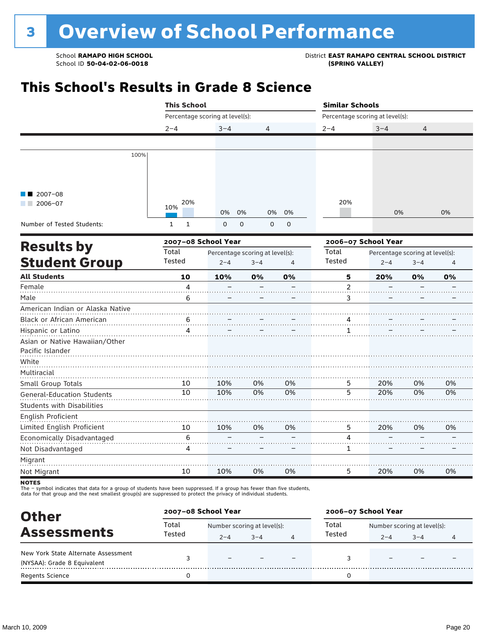School **RAMAPO HIGH SCHOOL**<br>School ID 50-04-02-06-0018<br>GPRING VALLEY)

## **This School's Results in Grade 8 Science**

|                                   |    | <b>This School</b><br>Percentage scoring at level(s):<br>$2 - 4$<br>$3 - 4$<br>4<br>20%<br>10%<br>0%<br>0%<br>0%<br>0%<br>0<br>$\mathbf{1}$<br>$\mathbf{1}$<br>0<br>$\mathbf 0$<br>$\mathbf 0$<br>2007-08 School Year<br>Total<br>Percentage scoring at level(s):<br>Tested<br>$2 - 4$<br>$3 - 4$<br>$\overline{4}$<br>10<br>10%<br>0%<br>0%<br>4<br>6<br>6<br>4<br>10%<br>0%<br>0%<br>10<br>10<br>10%<br>0%<br>0% |    |    | <b>Similar Schools</b>          |                                 |         |    |
|-----------------------------------|----|--------------------------------------------------------------------------------------------------------------------------------------------------------------------------------------------------------------------------------------------------------------------------------------------------------------------------------------------------------------------------------------------------------------------|----|----|---------------------------------|---------------------------------|---------|----|
|                                   |    |                                                                                                                                                                                                                                                                                                                                                                                                                    |    |    | Percentage scoring at level(s): |                                 |         |    |
|                                   |    |                                                                                                                                                                                                                                                                                                                                                                                                                    |    |    | $2 - 4$                         | $3 - 4$                         | 4       |    |
|                                   |    |                                                                                                                                                                                                                                                                                                                                                                                                                    |    |    |                                 |                                 |         |    |
| 100%                              |    |                                                                                                                                                                                                                                                                                                                                                                                                                    |    |    |                                 |                                 |         |    |
|                                   |    |                                                                                                                                                                                                                                                                                                                                                                                                                    |    |    |                                 |                                 |         |    |
|                                   |    |                                                                                                                                                                                                                                                                                                                                                                                                                    |    |    |                                 |                                 |         |    |
| $2007 - 08$                       |    |                                                                                                                                                                                                                                                                                                                                                                                                                    |    |    |                                 |                                 |         |    |
| $2006 - 07$                       |    |                                                                                                                                                                                                                                                                                                                                                                                                                    |    |    | 20%                             |                                 |         |    |
|                                   |    |                                                                                                                                                                                                                                                                                                                                                                                                                    |    |    |                                 | 0%                              |         | 0% |
| Number of Tested Students:        |    |                                                                                                                                                                                                                                                                                                                                                                                                                    |    |    |                                 |                                 |         |    |
|                                   |    |                                                                                                                                                                                                                                                                                                                                                                                                                    |    |    |                                 | 2006-07 School Year             |         |    |
| <b>Results by</b>                 |    |                                                                                                                                                                                                                                                                                                                                                                                                                    |    |    | Total                           | Percentage scoring at level(s): |         |    |
| <b>Student Group</b>              |    |                                                                                                                                                                                                                                                                                                                                                                                                                    |    |    | Tested                          | $2 - 4$                         | $3 - 4$ | 4  |
| <b>All Students</b>               |    |                                                                                                                                                                                                                                                                                                                                                                                                                    |    |    | 5                               | 20%                             | 0%      | 0% |
| Female                            |    |                                                                                                                                                                                                                                                                                                                                                                                                                    |    |    | $\mathbf 2$                     |                                 |         |    |
| Male                              |    |                                                                                                                                                                                                                                                                                                                                                                                                                    |    |    | 3                               |                                 |         |    |
| American Indian or Alaska Native  |    |                                                                                                                                                                                                                                                                                                                                                                                                                    |    |    |                                 |                                 |         |    |
| Black or African American         |    |                                                                                                                                                                                                                                                                                                                                                                                                                    |    |    | 4                               |                                 |         |    |
| Hispanic or Latino                |    |                                                                                                                                                                                                                                                                                                                                                                                                                    |    |    | 1                               |                                 |         |    |
| Asian or Native Hawaiian/Other    |    |                                                                                                                                                                                                                                                                                                                                                                                                                    |    |    |                                 |                                 |         |    |
| Pacific Islander                  |    |                                                                                                                                                                                                                                                                                                                                                                                                                    |    |    |                                 |                                 |         |    |
| White                             |    |                                                                                                                                                                                                                                                                                                                                                                                                                    |    |    |                                 |                                 |         |    |
| Multiracial                       |    |                                                                                                                                                                                                                                                                                                                                                                                                                    |    |    |                                 |                                 |         |    |
| Small Group Totals                |    |                                                                                                                                                                                                                                                                                                                                                                                                                    |    |    | 5                               | 20%                             | 0%      | 0% |
| <b>General-Education Students</b> |    |                                                                                                                                                                                                                                                                                                                                                                                                                    |    |    | $\overline{5}$                  | 20%                             | 0%      | 0% |
| <b>Students with Disabilities</b> |    |                                                                                                                                                                                                                                                                                                                                                                                                                    |    |    |                                 |                                 |         |    |
| English Proficient                |    |                                                                                                                                                                                                                                                                                                                                                                                                                    |    |    |                                 |                                 |         |    |
| Limited English Proficient        | 10 | 10%                                                                                                                                                                                                                                                                                                                                                                                                                | 0% | 0% | 5                               | 20%                             | 0%      | 0% |
| Economically Disadvantaged        | 6  |                                                                                                                                                                                                                                                                                                                                                                                                                    |    |    | 4                               |                                 |         |    |
| Not Disadvantaged                 | 4  |                                                                                                                                                                                                                                                                                                                                                                                                                    |    |    | 1                               |                                 |         |    |
| Migrant                           |    |                                                                                                                                                                                                                                                                                                                                                                                                                    |    |    |                                 |                                 |         |    |
| Not Migrant                       | 10 | 10%                                                                                                                                                                                                                                                                                                                                                                                                                | 0% | 0% | 5                               | 20%                             | 0%      | 0% |
| <b>NOTES</b>                      |    |                                                                                                                                                                                                                                                                                                                                                                                                                    |    |    |                                 |                                 |         |    |

The – symbol indicates that data for a group of students have been suppressed. If a group has fewer than five students,<br>data for that group and the next smallest group(s) are suppressed to protect the privacy of individual

| <b>Other</b>                                                       |        | 2007-08 School Year         |         |  | 2006-07 School Year |         |                             |   |  |
|--------------------------------------------------------------------|--------|-----------------------------|---------|--|---------------------|---------|-----------------------------|---|--|
|                                                                    | Total  | Number scoring at level(s): |         |  | Total               |         | Number scoring at level(s): |   |  |
| <b>Assessments</b>                                                 | Tested | $2 - 4$                     | $3 - 4$ |  | Tested              | $2 - 4$ | $3 - 4$                     | 4 |  |
| New York State Alternate Assessment<br>(NYSAA): Grade 8 Equivalent |        |                             |         |  |                     |         |                             |   |  |
| <b>Regents Science</b>                                             |        |                             |         |  |                     |         |                             |   |  |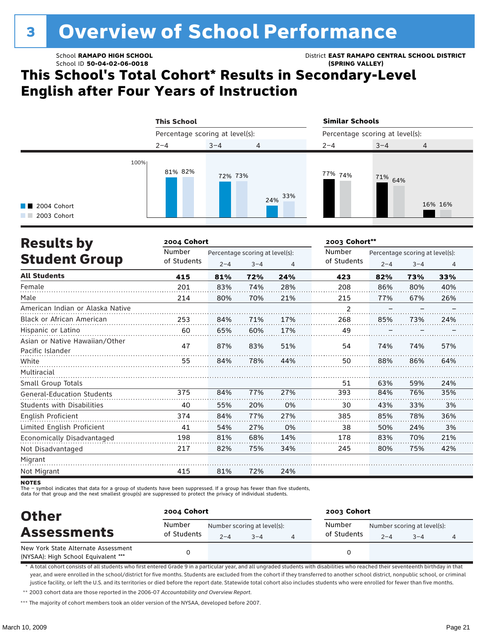# <sup>3</sup> Overview of School Performance

School ID **50-04-02-06-0018 (SPRING VALLEY)**

School **RAMAPO HIGH SCHOOL** District **EAST RAMAPO CENTRAL SCHOOL DISTRICT**

### **This School's Total Cohort\* Results in Secondary-Level English after Four Years of Instruction**

|                                     | <b>This School</b>              |         |                | <b>Similar Schools</b>          |         |                |  |
|-------------------------------------|---------------------------------|---------|----------------|---------------------------------|---------|----------------|--|
|                                     | Percentage scoring at level(s): |         |                | Percentage scoring at level(s): |         |                |  |
|                                     | $2 - 4$                         | $3 - 4$ | $\overline{4}$ | $2 - 4$                         | $3 - 4$ | $\overline{4}$ |  |
| <b>1</b> 2004 Cohort<br>2003 Cohort | 100%<br>81% 82%                 | 72% 73% | 33%<br>24%     | 77% 74%                         | 71% 64% | 16% 16%        |  |

| <b>Results by</b>                                  | 2004 Cohort |                                 |         |     |             |         | 2003 Cohort**                   |                |  |  |  |
|----------------------------------------------------|-------------|---------------------------------|---------|-----|-------------|---------|---------------------------------|----------------|--|--|--|
|                                                    | Number      | Percentage scoring at level(s): |         |     | Number      |         | Percentage scoring at level(s): |                |  |  |  |
| <b>Student Group</b>                               | of Students | $2 - 4$                         | $3 - 4$ | 4   | of Students | $2 - 4$ | $3 - 4$                         | $\overline{4}$ |  |  |  |
| <b>All Students</b>                                | 415         | 81%                             | 72%     | 24% | 423         | 82%     | 73%                             | 33%            |  |  |  |
| Female                                             | 201         | 83%                             | 74%     | 28% | 208         | 86%     | 80%                             | 40%            |  |  |  |
| Male                                               | 214         | 80%                             | 70%     | 21% | 215         | 77%     | 67%                             | 26%            |  |  |  |
| American Indian or Alaska Native                   |             |                                 |         |     | 2           |         |                                 |                |  |  |  |
| <b>Black or African American</b>                   | 253         | 84%                             | 71%     | 17% | 268         | 85%     | 73%                             | 24%            |  |  |  |
| Hispanic or Latino                                 | 60          | 65%                             | 60%     | 17% | 49          |         |                                 |                |  |  |  |
| Asian or Native Hawaiian/Other<br>Pacific Islander | 47          | 87%                             | 83%     | 51% | 54          | 74%     | 74%                             | 57%            |  |  |  |
| White                                              | 55          | 84%                             | 78%     | 44% | 50          | 88%     | 86%                             | 64%            |  |  |  |
| Multiracial                                        |             |                                 |         |     |             |         |                                 |                |  |  |  |
| Small Group Totals                                 |             |                                 |         |     | 51          | 63%     | 59%                             | 24%            |  |  |  |
| <b>General-Education Students</b>                  | 375         | 84%                             | 77%     | 27% | 393         | 84%     | 76%                             | 35%            |  |  |  |
| <b>Students with Disabilities</b>                  | 40          | 55%                             | 20%     | 0%  | 30          | 43%     | 33%                             | 3%             |  |  |  |
| English Proficient                                 | 374         | 84%                             | 77%     | 27% | 385         | 85%     | 78%                             | 36%            |  |  |  |
| Limited English Proficient                         | 41          | 54%                             | 27%     | 0%  | 38          | 50%     | 24%                             | 3%             |  |  |  |
| Economically Disadvantaged                         | 198         | 81%                             | 68%     | 14% | 178         | 83%     | 70%                             | 21%            |  |  |  |
| Not Disadvantaged                                  | 217         | 82%                             | 75%     | 34% | 245         | 80%     | 75%                             | 42%            |  |  |  |
| Migrant                                            |             |                                 |         |     |             |         |                                 |                |  |  |  |
| Not Migrant                                        | 415         | 81%                             | 72%     | 24% |             |         |                                 |                |  |  |  |

**NOTES** 

The – symbol indicates that data for a group of students have been suppressed. If a group has fewer than five students,

data for that group and the next smallest group(s) are suppressed to protect the privacy of individual students.

| <b>Other</b>                                                               | 2004 Cohort           |         |                                        |  | 2003 Cohort           |         |                                        |  |  |
|----------------------------------------------------------------------------|-----------------------|---------|----------------------------------------|--|-----------------------|---------|----------------------------------------|--|--|
| <b>Assessments</b>                                                         | Number<br>of Students | $2 - 4$ | Number scoring at level(s):<br>$3 - 4$ |  | Number<br>of Students | $2 - 4$ | Number scoring at level(s):<br>$3 - 4$ |  |  |
| New York State Alternate Assessment<br>(NYSAA): High School Equivalent *** |                       |         |                                        |  |                       |         |                                        |  |  |

\* A total cohort consists of all students who first entered Grade 9 in a particular year, and all ungraded students with disabilities who reached their seventeenth birthday in that year, and were enrolled in the school/district for five months. Students are excluded from the cohort if they transferred to another school district, nonpublic school, or criminal justice facility, or left the U.S. and its territories or died before the report date. Statewide total cohort also includes students who were enrolled for fewer than five months.

\*\* 2003 cohort data are those reported in the 2006-07 *Accountability and Overview Report*.

\*\*\* The majority of cohort members took an older version of the NYSAA, developed before 2007.